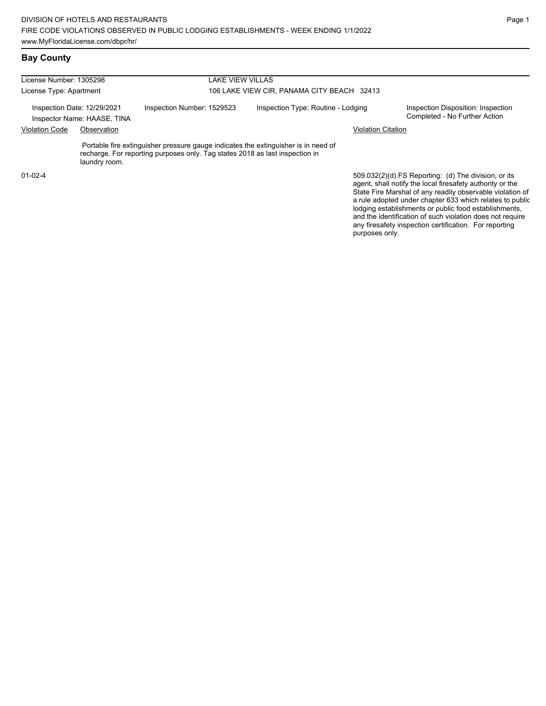## **Bay County**

| License Number: 1305298                                    |               | LAKE VIEW VILLAS                                                                                                                                                   |                                            |                                                                                                                                                                                                                                                                                                     |  |  |  |
|------------------------------------------------------------|---------------|--------------------------------------------------------------------------------------------------------------------------------------------------------------------|--------------------------------------------|-----------------------------------------------------------------------------------------------------------------------------------------------------------------------------------------------------------------------------------------------------------------------------------------------------|--|--|--|
| License Type: Apartment                                    |               |                                                                                                                                                                    | 106 LAKE VIEW CIR, PANAMA CITY BEACH 32413 |                                                                                                                                                                                                                                                                                                     |  |  |  |
| Inspection Date: 12/29/2021<br>Inspector Name: HAASE, TINA |               | Inspection Number: 1529523                                                                                                                                         | Inspection Type: Routine - Lodging         | Inspection Disposition: Inspection<br>Completed - No Further Action                                                                                                                                                                                                                                 |  |  |  |
| <b>Violation Code</b><br>Observation                       |               |                                                                                                                                                                    | <b>Violation Citation</b>                  |                                                                                                                                                                                                                                                                                                     |  |  |  |
|                                                            | laundry room. | Portable fire extinguisher pressure gauge indicates the extinguisher is in need of<br>recharge. For reporting purposes only. Tag states 2018 as last inspection in |                                            |                                                                                                                                                                                                                                                                                                     |  |  |  |
| $01-02-4$                                                  |               |                                                                                                                                                                    |                                            | 509.032(2)(d) FS Reporting: (d) The division, or its<br>agent, shall notify the local firesafety authority or the<br>State Fire Marshal of any readily observable violation of<br>a rule adopted under chapter 633 which relates to public<br>lodging establishments or public food establishments, |  |  |  |

and the identification of such violation does not require any firesafety inspection certification. For reporting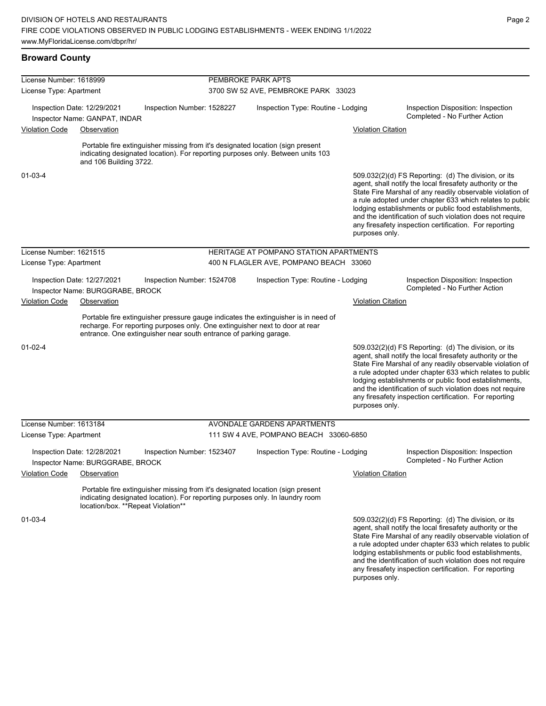#### **Broward County**

| License Number: 1618999 |                                                                 |                                                                                                                                                                                                       | PEMBROKE PARK APTS        |                                                                                    |                           |                                                                                                                                                                                                                                                                                                                                                                                                                              |  |  |
|-------------------------|-----------------------------------------------------------------|-------------------------------------------------------------------------------------------------------------------------------------------------------------------------------------------------------|---------------------------|------------------------------------------------------------------------------------|---------------------------|------------------------------------------------------------------------------------------------------------------------------------------------------------------------------------------------------------------------------------------------------------------------------------------------------------------------------------------------------------------------------------------------------------------------------|--|--|
| License Type: Apartment |                                                                 |                                                                                                                                                                                                       |                           | 3700 SW 52 AVE, PEMBROKE PARK 33023                                                |                           |                                                                                                                                                                                                                                                                                                                                                                                                                              |  |  |
|                         | Inspection Date: 12/29/2021<br>Inspector Name: GANPAT, INDAR    | Inspection Number: 1528227                                                                                                                                                                            |                           | Inspection Type: Routine - Lodging                                                 |                           | Inspection Disposition: Inspection<br>Completed - No Further Action                                                                                                                                                                                                                                                                                                                                                          |  |  |
| <b>Violation Code</b>   | Observation                                                     |                                                                                                                                                                                                       |                           |                                                                                    | <b>Violation Citation</b> |                                                                                                                                                                                                                                                                                                                                                                                                                              |  |  |
|                         | and 106 Building 3722.                                          | Portable fire extinguisher missing from it's designated location (sign present<br>indicating designated location). For reporting purposes only. Between units 103                                     |                           |                                                                                    |                           |                                                                                                                                                                                                                                                                                                                                                                                                                              |  |  |
| $01 - 03 - 4$           |                                                                 |                                                                                                                                                                                                       |                           |                                                                                    | purposes only.            | $509.032(2)(d)$ FS Reporting: (d) The division, or its<br>agent, shall notify the local firesafety authority or the<br>State Fire Marshal of any readily observable violation of<br>a rule adopted under chapter 633 which relates to public<br>lodging establishments or public food establishments,<br>and the identification of such violation does not require<br>any firesafety inspection certification. For reporting |  |  |
| License Number: 1621515 |                                                                 |                                                                                                                                                                                                       |                           | HERITAGE AT POMPANO STATION APARTMENTS                                             |                           |                                                                                                                                                                                                                                                                                                                                                                                                                              |  |  |
| License Type: Apartment |                                                                 |                                                                                                                                                                                                       |                           | 400 N FLAGLER AVE, POMPANO BEACH 33060                                             |                           |                                                                                                                                                                                                                                                                                                                                                                                                                              |  |  |
|                         | Inspection Date: 12/27/2021<br>Inspector Name: BURGGRABE, BROCK | Inspection Number: 1524708                                                                                                                                                                            |                           | Inspection Type: Routine - Lodging                                                 |                           | Inspection Disposition: Inspection<br>Completed - No Further Action                                                                                                                                                                                                                                                                                                                                                          |  |  |
| <b>Violation Code</b>   | Observation                                                     |                                                                                                                                                                                                       | <u>Violation Citation</u> |                                                                                    |                           |                                                                                                                                                                                                                                                                                                                                                                                                                              |  |  |
|                         |                                                                 | recharge. For reporting purposes only. One extinguisher next to door at rear<br>entrance. One extinguisher near south entrance of parking garage.                                                     |                           | Portable fire extinguisher pressure gauge indicates the extinguisher is in need of |                           |                                                                                                                                                                                                                                                                                                                                                                                                                              |  |  |
| $01 - 02 - 4$           |                                                                 |                                                                                                                                                                                                       |                           |                                                                                    | purposes only.            | 509.032(2)(d) FS Reporting: (d) The division, or its<br>agent, shall notify the local firesafety authority or the<br>State Fire Marshal of any readily observable violation of<br>a rule adopted under chapter 633 which relates to public<br>lodging establishments or public food establishments,<br>and the identification of such violation does not require<br>any firesafety inspection certification. For reporting   |  |  |
| License Number: 1613184 |                                                                 |                                                                                                                                                                                                       |                           | AVONDALE GARDENS APARTMENTS                                                        |                           |                                                                                                                                                                                                                                                                                                                                                                                                                              |  |  |
| License Type: Apartment |                                                                 |                                                                                                                                                                                                       |                           | 111 SW 4 AVE, POMPANO BEACH 33060-6850                                             |                           |                                                                                                                                                                                                                                                                                                                                                                                                                              |  |  |
|                         | Inspection Date: 12/28/2021<br>Inspector Name: BURGGRABE, BROCK | Inspection Number: 1523407                                                                                                                                                                            |                           | Inspection Type: Routine - Lodging                                                 |                           | Inspection Disposition: Inspection<br>Completed - No Further Action                                                                                                                                                                                                                                                                                                                                                          |  |  |
| <b>Violation Code</b>   | Observation                                                     |                                                                                                                                                                                                       |                           |                                                                                    | <b>Violation Citation</b> |                                                                                                                                                                                                                                                                                                                                                                                                                              |  |  |
|                         |                                                                 | Portable fire extinguisher missing from it's designated location (sign present<br>indicating designated location). For reporting purposes only. In laundry room<br>location/box. **Repeat Violation** |                           |                                                                                    |                           |                                                                                                                                                                                                                                                                                                                                                                                                                              |  |  |
| 01-03-4                 |                                                                 |                                                                                                                                                                                                       |                           |                                                                                    |                           | 509.032(2)(d) FS Reporting: (d) The division, or its<br>agent, shall notify the local firesafety authority or the<br>State Fire Marshal of any readily observable violation of<br>a rule adopted under chapter 633 which relates to public<br>lodging establishments or public food establishments,                                                                                                                          |  |  |

and the identification of such violation does not require any firesafety inspection certification. For reporting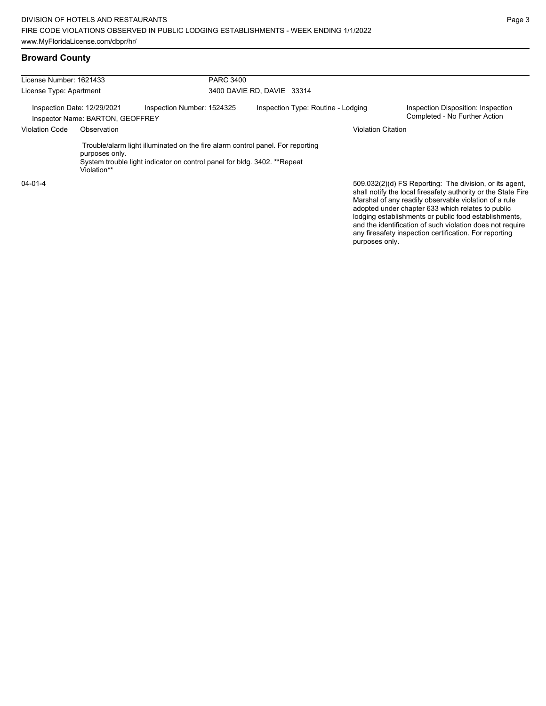#### **Broward County**

| License Number: 1621433<br>License Type: Apartment<br>Inspection Date: 12/29/2021<br>Inspector Name: BARTON, GEOFFREY |  | <b>PARC 3400</b><br>3400 DAVIE RD. DAVIE 33314 |                                                                                                                                                            |  |                                                                                                                                                                                                                                        |  |
|-----------------------------------------------------------------------------------------------------------------------|--|------------------------------------------------|------------------------------------------------------------------------------------------------------------------------------------------------------------|--|----------------------------------------------------------------------------------------------------------------------------------------------------------------------------------------------------------------------------------------|--|
|                                                                                                                       |  |                                                |                                                                                                                                                            |  |                                                                                                                                                                                                                                        |  |
|                                                                                                                       |  | <b>Violation Code</b><br>Observation           |                                                                                                                                                            |  |                                                                                                                                                                                                                                        |  |
| purposes only.<br>Violation**                                                                                         |  |                                                | Trouble/alarm light illuminated on the fire alarm control panel. For reporting<br>System trouble light indicator on control panel for bldg. 3402. **Repeat |  |                                                                                                                                                                                                                                        |  |
| $04 - 01 - 4$                                                                                                         |  |                                                |                                                                                                                                                            |  | 509.032(2)(d) FS Reporting: The division, or its agent,<br>shall notify the local firesafety authority or the State Fire<br>Marshal of any readily observable violation of a rule<br>adopted under chapter 633 which relates to public |  |

Page 3

lodging establishments or public food establishments, and the identification of such violation does not require any firesafety inspection certification. For reporting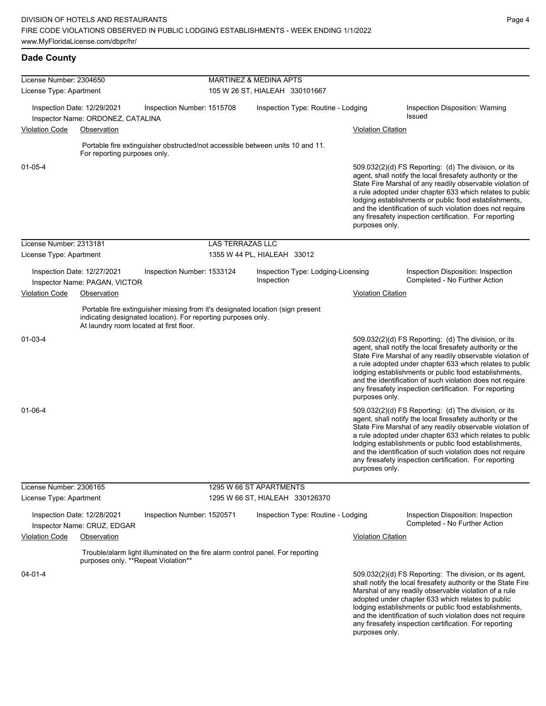| License Number: 2304650 |                                                                  |                                                                                                                                                 | <b>MARTINEZ &amp; MEDINA APTS</b> |                         |                                    |                           |                                                                                                                                                                                                                                                                                                                                                                                                                              |  |
|-------------------------|------------------------------------------------------------------|-------------------------------------------------------------------------------------------------------------------------------------------------|-----------------------------------|-------------------------|------------------------------------|---------------------------|------------------------------------------------------------------------------------------------------------------------------------------------------------------------------------------------------------------------------------------------------------------------------------------------------------------------------------------------------------------------------------------------------------------------------|--|
| License Type: Apartment |                                                                  |                                                                                                                                                 | 105 W 26 ST, HIALEAH 330101667    |                         |                                    |                           |                                                                                                                                                                                                                                                                                                                                                                                                                              |  |
|                         | Inspection Date: 12/29/2021<br>Inspector Name: ORDONEZ, CATALINA | Inspection Number: 1515708                                                                                                                      |                                   |                         | Inspection Type: Routine - Lodging |                           | Inspection Disposition: Warning<br>Issued                                                                                                                                                                                                                                                                                                                                                                                    |  |
| <b>Violation Code</b>   | Observation                                                      |                                                                                                                                                 |                                   |                         |                                    | <b>Violation Citation</b> |                                                                                                                                                                                                                                                                                                                                                                                                                              |  |
|                         |                                                                  | Portable fire extinguisher obstructed/not accessible between units 10 and 11.                                                                   |                                   |                         |                                    |                           |                                                                                                                                                                                                                                                                                                                                                                                                                              |  |
|                         | For reporting purposes only.                                     |                                                                                                                                                 |                                   |                         |                                    |                           |                                                                                                                                                                                                                                                                                                                                                                                                                              |  |
| $01 - 05 - 4$           |                                                                  |                                                                                                                                                 |                                   |                         |                                    | purposes only.            | $509.032(2)(d)$ FS Reporting: (d) The division, or its<br>agent, shall notify the local firesafety authority or the<br>State Fire Marshal of any readily observable violation of<br>a rule adopted under chapter 633 which relates to public<br>lodging establishments or public food establishments,<br>and the identification of such violation does not require<br>any firesafety inspection certification. For reporting |  |
| License Number: 2313181 |                                                                  |                                                                                                                                                 | <b>LAS TERRAZAS LLC</b>           |                         |                                    |                           |                                                                                                                                                                                                                                                                                                                                                                                                                              |  |
| License Type: Apartment |                                                                  |                                                                                                                                                 | 1355 W 44 PL, HIALEAH 33012       |                         |                                    |                           |                                                                                                                                                                                                                                                                                                                                                                                                                              |  |
|                         | Inspection Date: 12/27/2021<br>Inspector Name: PAGAN, VICTOR     | Inspection Number: 1533124                                                                                                                      |                                   | Inspection              | Inspection Type: Lodging-Licensing |                           | Inspection Disposition: Inspection<br>Completed - No Further Action                                                                                                                                                                                                                                                                                                                                                          |  |
| <b>Violation Code</b>   | Observation                                                      |                                                                                                                                                 |                                   |                         |                                    | <b>Violation Citation</b> |                                                                                                                                                                                                                                                                                                                                                                                                                              |  |
|                         | At laundry room located at first floor.                          | Portable fire extinguisher missing from it's designated location (sign present<br>indicating designated location). For reporting purposes only. |                                   |                         |                                    |                           |                                                                                                                                                                                                                                                                                                                                                                                                                              |  |
| 01-03-4                 |                                                                  |                                                                                                                                                 |                                   |                         |                                    | purposes only.            | 509.032(2)(d) FS Reporting: (d) The division, or its<br>agent, shall notify the local firesafety authority or the<br>State Fire Marshal of any readily observable violation of<br>a rule adopted under chapter 633 which relates to public<br>lodging establishments or public food establishments,<br>and the identification of such violation does not require<br>any firesafety inspection certification. For reporting   |  |
| $01 - 06 - 4$           |                                                                  |                                                                                                                                                 |                                   |                         |                                    | purposes only.            | 509.032(2)(d) FS Reporting: (d) The division, or its<br>agent, shall notify the local firesafety authority or the<br>State Fire Marshal of any readily observable violation of<br>a rule adopted under chapter 633 which relates to public<br>lodging establishments or public food establishments,<br>and the identification of such violation does not require<br>any firesafety inspection certification. For reporting   |  |
| License Number: 2306165 |                                                                  |                                                                                                                                                 |                                   | 1295 W 66 ST APARTMENTS |                                    |                           |                                                                                                                                                                                                                                                                                                                                                                                                                              |  |
| License Type: Apartment |                                                                  |                                                                                                                                                 | 1295 W 66 ST, HIALEAH 330126370   |                         |                                    |                           |                                                                                                                                                                                                                                                                                                                                                                                                                              |  |
|                         | Inspection Date: 12/28/2021<br>Inspector Name: CRUZ, EDGAR       | Inspection Number: 1520571                                                                                                                      |                                   |                         | Inspection Type: Routine - Lodging |                           | Inspection Disposition: Inspection<br>Completed - No Further Action                                                                                                                                                                                                                                                                                                                                                          |  |
| <b>Violation Code</b>   | Observation                                                      |                                                                                                                                                 |                                   |                         |                                    | <b>Violation Citation</b> |                                                                                                                                                                                                                                                                                                                                                                                                                              |  |
|                         | purposes only. **Repeat Violation**                              | Trouble/alarm light illuminated on the fire alarm control panel. For reporting                                                                  |                                   |                         |                                    |                           |                                                                                                                                                                                                                                                                                                                                                                                                                              |  |
| $04 - 01 - 4$           |                                                                  |                                                                                                                                                 |                                   |                         |                                    | purposes only.            | 509.032(2)(d) FS Reporting: The division, or its agent,<br>shall notify the local firesafety authority or the State Fire<br>Marshal of any readily observable violation of a rule<br>adopted under chapter 633 which relates to public<br>lodging establishments or public food establishments,<br>and the identification of such violation does not require<br>any firesafety inspection certification. For reporting       |  |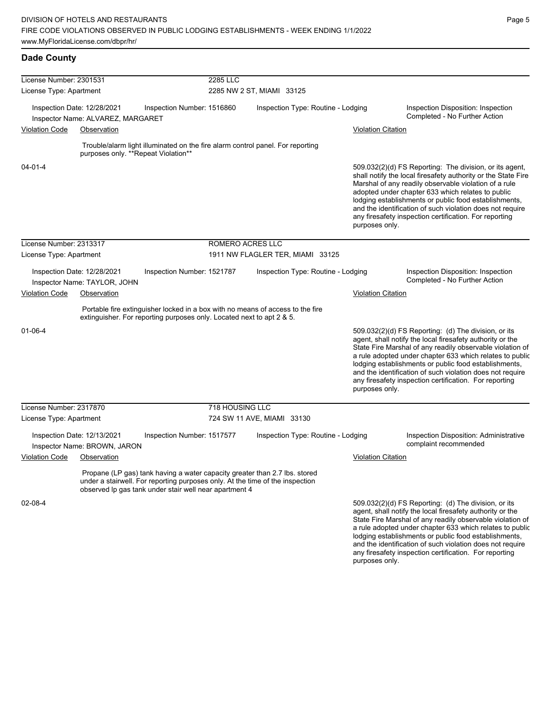| License Number: 2301531 |                                                                  |  |                                                                                                                                                                                                                       | 2285 LLC        |                                    |                                    |                           |                                                                                                                                                                                                                                                                                                                                                                                                                            |
|-------------------------|------------------------------------------------------------------|--|-----------------------------------------------------------------------------------------------------------------------------------------------------------------------------------------------------------------------|-----------------|------------------------------------|------------------------------------|---------------------------|----------------------------------------------------------------------------------------------------------------------------------------------------------------------------------------------------------------------------------------------------------------------------------------------------------------------------------------------------------------------------------------------------------------------------|
| License Type: Apartment |                                                                  |  |                                                                                                                                                                                                                       |                 | 2285 NW 2 ST, MIAMI 33125          |                                    |                           |                                                                                                                                                                                                                                                                                                                                                                                                                            |
|                         | Inspection Date: 12/28/2021<br>Inspector Name: ALVAREZ, MARGARET |  | Inspection Number: 1516860                                                                                                                                                                                            |                 | Inspection Type: Routine - Lodging |                                    |                           | Inspection Disposition: Inspection<br>Completed - No Further Action                                                                                                                                                                                                                                                                                                                                                        |
| <b>Violation Code</b>   | Observation                                                      |  |                                                                                                                                                                                                                       |                 |                                    |                                    | <b>Violation Citation</b> |                                                                                                                                                                                                                                                                                                                                                                                                                            |
|                         |                                                                  |  | Trouble/alarm light illuminated on the fire alarm control panel. For reporting<br>purposes only. **Repeat Violation**                                                                                                 |                 |                                    |                                    |                           |                                                                                                                                                                                                                                                                                                                                                                                                                            |
| $04 - 01 - 4$           |                                                                  |  |                                                                                                                                                                                                                       |                 |                                    |                                    | purposes only.            | 509.032(2)(d) FS Reporting: The division, or its agent,<br>shall notify the local firesafety authority or the State Fire<br>Marshal of any readily observable violation of a rule<br>adopted under chapter 633 which relates to public<br>lodging establishments or public food establishments,<br>and the identification of such violation does not require<br>any firesafety inspection certification. For reporting     |
| License Number: 2313317 |                                                                  |  |                                                                                                                                                                                                                       |                 | ROMERO ACRES LLC                   |                                    |                           |                                                                                                                                                                                                                                                                                                                                                                                                                            |
| License Type: Apartment |                                                                  |  | 1911 NW FLAGLER TER, MIAMI 33125                                                                                                                                                                                      |                 |                                    |                                    |                           |                                                                                                                                                                                                                                                                                                                                                                                                                            |
|                         | Inspection Date: 12/28/2021<br>Inspector Name: TAYLOR, JOHN      |  | Inspection Number: 1521787                                                                                                                                                                                            |                 |                                    | Inspection Type: Routine - Lodging |                           | Inspection Disposition: Inspection<br>Completed - No Further Action                                                                                                                                                                                                                                                                                                                                                        |
| <b>Violation Code</b>   | Observation                                                      |  |                                                                                                                                                                                                                       |                 |                                    |                                    | <b>Violation Citation</b> |                                                                                                                                                                                                                                                                                                                                                                                                                            |
|                         |                                                                  |  | Portable fire extinguisher locked in a box with no means of access to the fire<br>extinguisher. For reporting purposes only. Located next to apt 2 & 5.                                                               |                 |                                    |                                    |                           |                                                                                                                                                                                                                                                                                                                                                                                                                            |
| $01 - 06 - 4$           |                                                                  |  |                                                                                                                                                                                                                       |                 |                                    |                                    | purposes only.            | 509.032(2)(d) FS Reporting: (d) The division, or its<br>agent, shall notify the local firesafety authority or the<br>State Fire Marshal of any readily observable violation of<br>a rule adopted under chapter 633 which relates to public<br>lodging establishments or public food establishments,<br>and the identification of such violation does not require<br>any firesafety inspection certification. For reporting |
| License Number: 2317870 |                                                                  |  |                                                                                                                                                                                                                       | 718 HOUSING LLC |                                    |                                    |                           |                                                                                                                                                                                                                                                                                                                                                                                                                            |
| License Type: Apartment |                                                                  |  |                                                                                                                                                                                                                       |                 | 724 SW 11 AVE, MIAMI 33130         |                                    |                           |                                                                                                                                                                                                                                                                                                                                                                                                                            |
|                         | Inspection Date: 12/13/2021<br>Inspector Name: BROWN, JARON      |  | Inspection Number: 1517577                                                                                                                                                                                            |                 |                                    | Inspection Type: Routine - Lodging |                           | Inspection Disposition: Administrative<br>complaint recommended                                                                                                                                                                                                                                                                                                                                                            |
| <b>Violation Code</b>   | Observation                                                      |  |                                                                                                                                                                                                                       |                 |                                    |                                    | <b>Violation Citation</b> |                                                                                                                                                                                                                                                                                                                                                                                                                            |
|                         |                                                                  |  | Propane (LP gas) tank having a water capacity greater than 2.7 lbs. stored<br>under a stairwell. For reporting purposes only. At the time of the inspection<br>observed Ip gas tank under stair well near apartment 4 |                 |                                    |                                    |                           |                                                                                                                                                                                                                                                                                                                                                                                                                            |
| 02-08-4                 |                                                                  |  |                                                                                                                                                                                                                       |                 |                                    |                                    |                           | 509.032(2)(d) FS Reporting: (d) The division, or its<br>agent, shall notify the local firesafety authority or the<br>State Fire Marshal of any readily observable violation of                                                                                                                                                                                                                                             |

a rule adopted under chapter 633 which relates to public lodging establishments or public food establishments, and the identification of such violation does not require any firesafety inspection certification. For reporting purposes only.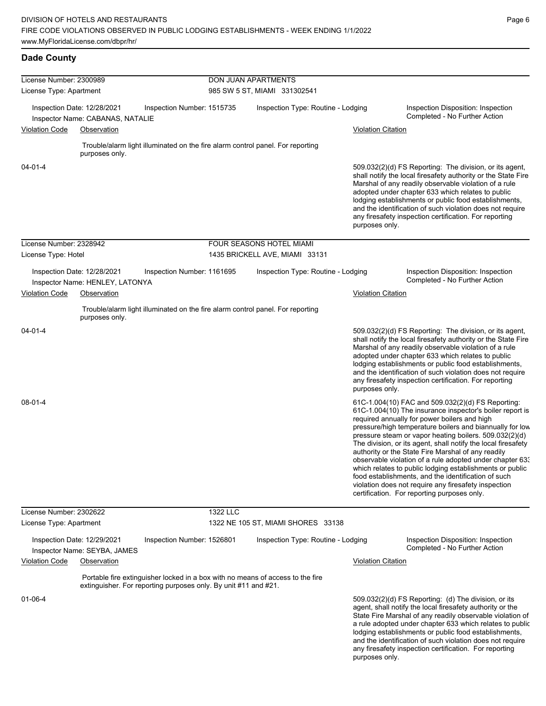| License Number: 2300989 |                                                                | DON JUAN APARTMENTS                                                            |          |                                                                                |                           |                                                                                                                                                                                                                                                                                                                                                                                                                                                                                                                                                                                                                                                                                                  |  |
|-------------------------|----------------------------------------------------------------|--------------------------------------------------------------------------------|----------|--------------------------------------------------------------------------------|---------------------------|--------------------------------------------------------------------------------------------------------------------------------------------------------------------------------------------------------------------------------------------------------------------------------------------------------------------------------------------------------------------------------------------------------------------------------------------------------------------------------------------------------------------------------------------------------------------------------------------------------------------------------------------------------------------------------------------------|--|
| License Type: Apartment |                                                                |                                                                                |          | 985 SW 5 ST, MIAMI 331302541                                                   |                           |                                                                                                                                                                                                                                                                                                                                                                                                                                                                                                                                                                                                                                                                                                  |  |
|                         | Inspection Date: 12/28/2021                                    | Inspection Number: 1515735                                                     |          | Inspection Type: Routine - Lodging                                             |                           | Inspection Disposition: Inspection<br>Completed - No Further Action                                                                                                                                                                                                                                                                                                                                                                                                                                                                                                                                                                                                                              |  |
| <b>Violation Code</b>   | Inspector Name: CABANAS, NATALIE<br>Observation                |                                                                                |          |                                                                                | <b>Violation Citation</b> |                                                                                                                                                                                                                                                                                                                                                                                                                                                                                                                                                                                                                                                                                                  |  |
|                         |                                                                |                                                                                |          |                                                                                |                           |                                                                                                                                                                                                                                                                                                                                                                                                                                                                                                                                                                                                                                                                                                  |  |
|                         | purposes only.                                                 | Trouble/alarm light illuminated on the fire alarm control panel. For reporting |          |                                                                                |                           |                                                                                                                                                                                                                                                                                                                                                                                                                                                                                                                                                                                                                                                                                                  |  |
| 04-01-4                 |                                                                |                                                                                |          |                                                                                | purposes only.            | 509.032(2)(d) FS Reporting: The division, or its agent,<br>shall notify the local firesafety authority or the State Fire<br>Marshal of any readily observable violation of a rule<br>adopted under chapter 633 which relates to public<br>lodging establishments or public food establishments,<br>and the identification of such violation does not require<br>any firesafety inspection certification. For reporting                                                                                                                                                                                                                                                                           |  |
| License Number: 2328942 |                                                                |                                                                                |          | FOUR SEASONS HOTEL MIAMI                                                       |                           |                                                                                                                                                                                                                                                                                                                                                                                                                                                                                                                                                                                                                                                                                                  |  |
| License Type: Hotel     |                                                                |                                                                                |          | 1435 BRICKELL AVE, MIAMI 33131                                                 |                           |                                                                                                                                                                                                                                                                                                                                                                                                                                                                                                                                                                                                                                                                                                  |  |
|                         | Inspection Date: 12/28/2021<br>Inspector Name: HENLEY, LATONYA | Inspection Number: 1161695                                                     |          | Inspection Type: Routine - Lodging                                             |                           | Inspection Disposition: Inspection<br>Completed - No Further Action                                                                                                                                                                                                                                                                                                                                                                                                                                                                                                                                                                                                                              |  |
| <b>Violation Code</b>   | Observation                                                    |                                                                                |          |                                                                                | <b>Violation Citation</b> |                                                                                                                                                                                                                                                                                                                                                                                                                                                                                                                                                                                                                                                                                                  |  |
|                         | purposes only.                                                 | Trouble/alarm light illuminated on the fire alarm control panel. For reporting |          |                                                                                |                           |                                                                                                                                                                                                                                                                                                                                                                                                                                                                                                                                                                                                                                                                                                  |  |
| $04 - 01 - 4$           |                                                                |                                                                                |          |                                                                                | purposes only.            | 509.032(2)(d) FS Reporting: The division, or its agent,<br>shall notify the local firesafety authority or the State Fire<br>Marshal of any readily observable violation of a rule<br>adopted under chapter 633 which relates to public<br>lodging establishments or public food establishments,<br>and the identification of such violation does not require<br>any firesafety inspection certification. For reporting                                                                                                                                                                                                                                                                           |  |
| 08-01-4                 |                                                                |                                                                                |          |                                                                                |                           | 61C-1.004(10) FAC and 509.032(2)(d) FS Reporting:<br>61C-1.004(10) The insurance inspector's boiler report is<br>required annually for power boilers and high<br>pressure/high temperature boilers and biannually for low<br>pressure steam or vapor heating boilers. 509.032(2)(d)<br>The division, or its agent, shall notify the local firesafety<br>authority or the State Fire Marshal of any readily<br>observable violation of a rule adopted under chapter 63.<br>which relates to public lodging establishments or public<br>food establishments, and the identification of such<br>violation does not require any firesafety inspection<br>certification. For reporting purposes only. |  |
| License Number: 2302622 |                                                                |                                                                                | 1322 LLC |                                                                                |                           |                                                                                                                                                                                                                                                                                                                                                                                                                                                                                                                                                                                                                                                                                                  |  |
| License Type: Apartment |                                                                |                                                                                |          | 1322 NE 105 ST, MIAMI SHORES 33138                                             |                           |                                                                                                                                                                                                                                                                                                                                                                                                                                                                                                                                                                                                                                                                                                  |  |
|                         | Inspection Date: 12/29/2021<br>Inspector Name: SEYBA, JAMES    | Inspection Number: 1526801                                                     |          | Inspection Type: Routine - Lodging                                             |                           | Inspection Disposition: Inspection<br>Completed - No Further Action                                                                                                                                                                                                                                                                                                                                                                                                                                                                                                                                                                                                                              |  |
| <b>Violation Code</b>   | Observation                                                    |                                                                                |          |                                                                                | <b>Violation Citation</b> |                                                                                                                                                                                                                                                                                                                                                                                                                                                                                                                                                                                                                                                                                                  |  |
|                         |                                                                | extinguisher. For reporting purposes only. By unit #11 and #21.                |          | Portable fire extinguisher locked in a box with no means of access to the fire |                           |                                                                                                                                                                                                                                                                                                                                                                                                                                                                                                                                                                                                                                                                                                  |  |
| 01-06-4                 |                                                                |                                                                                |          |                                                                                | purposes only.            | 509.032(2)(d) FS Reporting (d) The division, or its<br>agent, shall notify the local firesafety authority or the<br>State Fire Marshal of any readily observable violation of<br>a rule adopted under chapter 633 which relates to public<br>lodging establishments or public food establishments,<br>and the identification of such violation does not require<br>any firesafety inspection certification. For reporting                                                                                                                                                                                                                                                                        |  |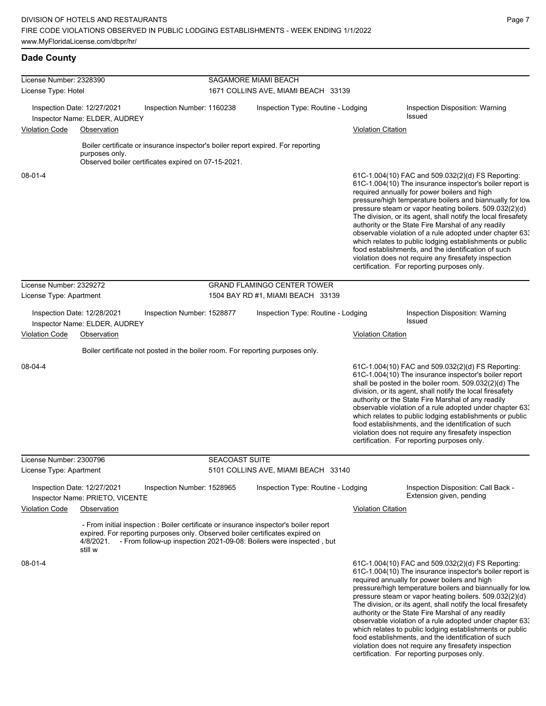| License Number: 2328390 |                                                                |                                                                                  | SAGAMORE MIAMI BEACH  |                                                                                                                                                              |                           |                                                                                                                                                                                                                                                                                                                                                                                                                                                                                                                                                                                                                                                                                                  |  |  |
|-------------------------|----------------------------------------------------------------|----------------------------------------------------------------------------------|-----------------------|--------------------------------------------------------------------------------------------------------------------------------------------------------------|---------------------------|--------------------------------------------------------------------------------------------------------------------------------------------------------------------------------------------------------------------------------------------------------------------------------------------------------------------------------------------------------------------------------------------------------------------------------------------------------------------------------------------------------------------------------------------------------------------------------------------------------------------------------------------------------------------------------------------------|--|--|
| License Type: Hotel     |                                                                |                                                                                  |                       | 1671 COLLINS AVE, MIAMI BEACH 33139                                                                                                                          |                           |                                                                                                                                                                                                                                                                                                                                                                                                                                                                                                                                                                                                                                                                                                  |  |  |
|                         | Inspection Date: 12/27/2021<br>Inspector Name: ELDER, AUDREY   | Inspection Number: 1160238                                                       |                       | Inspection Type: Routine - Lodging                                                                                                                           |                           | Inspection Disposition: Warning<br>Issued                                                                                                                                                                                                                                                                                                                                                                                                                                                                                                                                                                                                                                                        |  |  |
| <b>Violation Code</b>   | Observation                                                    |                                                                                  |                       |                                                                                                                                                              | <b>Violation Citation</b> |                                                                                                                                                                                                                                                                                                                                                                                                                                                                                                                                                                                                                                                                                                  |  |  |
|                         |                                                                | Boiler certificate or insurance inspector's boiler report expired. For reporting |                       |                                                                                                                                                              |                           |                                                                                                                                                                                                                                                                                                                                                                                                                                                                                                                                                                                                                                                                                                  |  |  |
|                         | purposes only.                                                 | Observed boiler certificates expired on 07-15-2021.                              |                       |                                                                                                                                                              |                           |                                                                                                                                                                                                                                                                                                                                                                                                                                                                                                                                                                                                                                                                                                  |  |  |
| $08 - 01 - 4$           |                                                                |                                                                                  |                       |                                                                                                                                                              |                           | 61C-1.004(10) FAC and 509.032(2)(d) FS Reporting:<br>61C-1.004(10) The insurance inspector's boiler report is<br>required annually for power boilers and high<br>pressure/high temperature boilers and biannually for low<br>pressure steam or vapor heating boilers. 509.032(2)(d)<br>The division, or its agent, shall notify the local firesafety<br>authority or the State Fire Marshal of any readily<br>observable violation of a rule adopted under chapter 63.<br>which relates to public lodging establishments or public<br>food establishments, and the identification of such<br>violation does not require any firesafety inspection<br>certification. For reporting purposes only. |  |  |
| License Number: 2329272 |                                                                |                                                                                  |                       | <b>GRAND FLAMINGO CENTER TOWER</b>                                                                                                                           |                           |                                                                                                                                                                                                                                                                                                                                                                                                                                                                                                                                                                                                                                                                                                  |  |  |
| License Type: Apartment |                                                                |                                                                                  |                       | 1504 BAY RD #1, MIAMI BEACH 33139                                                                                                                            |                           |                                                                                                                                                                                                                                                                                                                                                                                                                                                                                                                                                                                                                                                                                                  |  |  |
|                         | Inspection Date: 12/28/2021<br>Inspector Name: ELDER, AUDREY   | Inspection Number: 1528877                                                       |                       | Inspection Type: Routine - Lodging                                                                                                                           |                           | Inspection Disposition: Warning<br>Issued                                                                                                                                                                                                                                                                                                                                                                                                                                                                                                                                                                                                                                                        |  |  |
| <b>Violation Code</b>   | Observation                                                    |                                                                                  |                       |                                                                                                                                                              | <b>Violation Citation</b> |                                                                                                                                                                                                                                                                                                                                                                                                                                                                                                                                                                                                                                                                                                  |  |  |
|                         |                                                                | Boiler certificate not posted in the boiler room. For reporting purposes only.   |                       |                                                                                                                                                              |                           |                                                                                                                                                                                                                                                                                                                                                                                                                                                                                                                                                                                                                                                                                                  |  |  |
| 08-04-4                 |                                                                |                                                                                  |                       |                                                                                                                                                              |                           | 61C-1.004(10) FAC and 509.032(2)(d) FS Reporting:<br>61C-1.004(10) The insurance inspector's boiler report<br>shall be posted in the boiler room. 509.032(2)(d) The<br>division, or its agent, shall notify the local firesafety<br>authority or the State Fire Marshal of any readily<br>observable violation of a rule adopted under chapter 633<br>which relates to public lodging establishments or public<br>food establishments, and the identification of such<br>violation does not require any firesafety inspection<br>certification. For reporting purposes only.                                                                                                                     |  |  |
| License Number: 2300796 |                                                                |                                                                                  | <b>SEACOAST SUITE</b> |                                                                                                                                                              |                           |                                                                                                                                                                                                                                                                                                                                                                                                                                                                                                                                                                                                                                                                                                  |  |  |
| License Type: Apartment |                                                                |                                                                                  |                       | 5101 COLLINS AVE, MIAMI BEACH 33140                                                                                                                          |                           |                                                                                                                                                                                                                                                                                                                                                                                                                                                                                                                                                                                                                                                                                                  |  |  |
|                         | Inspection Date: 12/27/2021<br>Inspector Name: PRIETO, VICENTE | Inspection Number: 1528965                                                       |                       | Inspection Type: Routine - Lodging                                                                                                                           |                           | Inspection Disposition: Call Back -<br>Extension given, pending                                                                                                                                                                                                                                                                                                                                                                                                                                                                                                                                                                                                                                  |  |  |
| <b>Violation Code</b>   | Observation                                                    |                                                                                  |                       |                                                                                                                                                              | <b>Violation Citation</b> |                                                                                                                                                                                                                                                                                                                                                                                                                                                                                                                                                                                                                                                                                                  |  |  |
|                         | 4/8/2021.<br>still w                                           | expired. For reporting purposes only. Observed boiler certificates expired on    |                       | - From initial inspection : Boiler certificate or insurance inspector's boiler report<br>- From follow-up inspection 2021-09-08: Boilers were inspected, but |                           |                                                                                                                                                                                                                                                                                                                                                                                                                                                                                                                                                                                                                                                                                                  |  |  |
| 08-01-4                 |                                                                |                                                                                  |                       |                                                                                                                                                              |                           | 61C-1.004(10) FAC and 509.032(2)(d) FS Reporting:<br>61C-1.004(10) The insurance inspector's boiler report is<br>required annually for power boilers and high<br>pressure/high temperature boilers and biannually for low<br>pressure steam or vapor heating boilers. 509.032(2)(d)<br>The division, or its agent, shall notify the local firesafety<br>authority or the State Fire Marshal of any readily<br>observable violation of a rule adopted under chapter 63.<br>which relates to public lodging establishments or public                                                                                                                                                               |  |  |

food establishments, and the identification of such violation does not require any firesafety inspection certification. For reporting purposes only.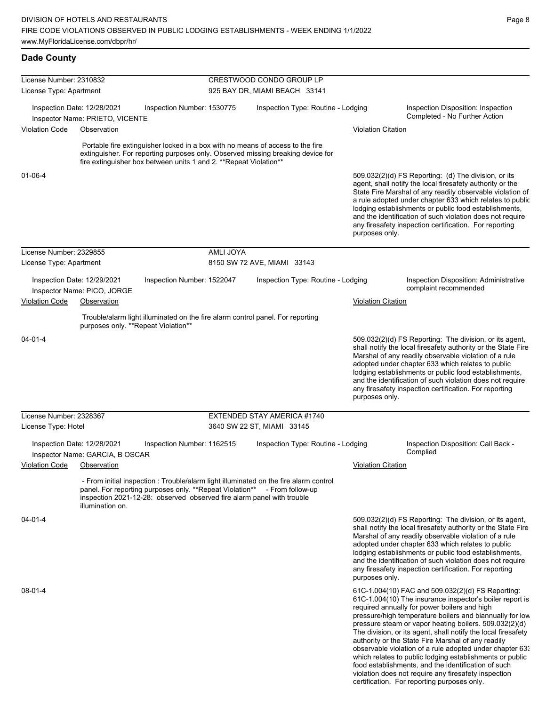| License Number: 2310832 |                                                                |                                                                                                                                    |           | CRESTWOOD CONDO GROUP LP                                                                                                                                          |                           |                                                                                                                                                                                                                                                                                                                                                                                                                                                                                                                                                                                                                                                                                                  |
|-------------------------|----------------------------------------------------------------|------------------------------------------------------------------------------------------------------------------------------------|-----------|-------------------------------------------------------------------------------------------------------------------------------------------------------------------|---------------------------|--------------------------------------------------------------------------------------------------------------------------------------------------------------------------------------------------------------------------------------------------------------------------------------------------------------------------------------------------------------------------------------------------------------------------------------------------------------------------------------------------------------------------------------------------------------------------------------------------------------------------------------------------------------------------------------------------|
| License Type: Apartment |                                                                |                                                                                                                                    |           | 925 BAY DR, MIAMI BEACH 33141                                                                                                                                     |                           |                                                                                                                                                                                                                                                                                                                                                                                                                                                                                                                                                                                                                                                                                                  |
|                         | Inspection Date: 12/28/2021                                    | Inspection Number: 1530775                                                                                                         |           | Inspection Type: Routine - Lodging                                                                                                                                |                           | Inspection Disposition: Inspection                                                                                                                                                                                                                                                                                                                                                                                                                                                                                                                                                                                                                                                               |
|                         | Inspector Name: PRIETO, VICENTE                                |                                                                                                                                    |           |                                                                                                                                                                   |                           | Completed - No Further Action                                                                                                                                                                                                                                                                                                                                                                                                                                                                                                                                                                                                                                                                    |
| Violation Code          | Observation                                                    |                                                                                                                                    |           |                                                                                                                                                                   | <b>Violation Citation</b> |                                                                                                                                                                                                                                                                                                                                                                                                                                                                                                                                                                                                                                                                                                  |
|                         |                                                                | fire extinguisher box between units 1 and 2. ** Repeat Violation**                                                                 |           | Portable fire extinguisher locked in a box with no means of access to the fire<br>extinguisher. For reporting purposes only. Observed missing breaking device for |                           |                                                                                                                                                                                                                                                                                                                                                                                                                                                                                                                                                                                                                                                                                                  |
| $01 - 06 - 4$           |                                                                |                                                                                                                                    |           |                                                                                                                                                                   | purposes only.            | 509.032(2)(d) FS Reporting: (d) The division, or its<br>agent, shall notify the local firesafety authority or the<br>State Fire Marshal of any readily observable violation of<br>a rule adopted under chapter 633 which relates to public<br>lodging establishments or public food establishments,<br>and the identification of such violation does not require<br>any firesafety inspection certification. For reporting                                                                                                                                                                                                                                                                       |
| License Number: 2329855 |                                                                |                                                                                                                                    | AMLI JOYA |                                                                                                                                                                   |                           |                                                                                                                                                                                                                                                                                                                                                                                                                                                                                                                                                                                                                                                                                                  |
| License Type: Apartment |                                                                |                                                                                                                                    |           | 8150 SW 72 AVE, MIAMI 33143                                                                                                                                       |                           |                                                                                                                                                                                                                                                                                                                                                                                                                                                                                                                                                                                                                                                                                                  |
|                         | Inspection Date: 12/29/2021<br>Inspector Name: PICO, JORGE     | Inspection Number: 1522047                                                                                                         |           | Inspection Type: Routine - Lodging                                                                                                                                |                           | Inspection Disposition: Administrative<br>complaint recommended                                                                                                                                                                                                                                                                                                                                                                                                                                                                                                                                                                                                                                  |
| <b>Violation Code</b>   | Observation                                                    |                                                                                                                                    |           |                                                                                                                                                                   | <b>Violation Citation</b> |                                                                                                                                                                                                                                                                                                                                                                                                                                                                                                                                                                                                                                                                                                  |
|                         |                                                                |                                                                                                                                    |           |                                                                                                                                                                   |                           |                                                                                                                                                                                                                                                                                                                                                                                                                                                                                                                                                                                                                                                                                                  |
|                         | purposes only. **Repeat Violation**                            |                                                                                                                                    |           | Trouble/alarm light illuminated on the fire alarm control panel. For reporting                                                                                    |                           |                                                                                                                                                                                                                                                                                                                                                                                                                                                                                                                                                                                                                                                                                                  |
| 04-01-4                 |                                                                |                                                                                                                                    |           |                                                                                                                                                                   | purposes only.            | 509.032(2)(d) FS Reporting: The division, or its agent,<br>shall notify the local firesafety authority or the State Fire<br>Marshal of any readily observable violation of a rule<br>adopted under chapter 633 which relates to public<br>lodging establishments or public food establishments,<br>and the identification of such violation does not require<br>any firesafety inspection certification. For reporting                                                                                                                                                                                                                                                                           |
| License Number: 2328367 |                                                                |                                                                                                                                    |           | EXTENDED STAY AMERICA #1740                                                                                                                                       |                           |                                                                                                                                                                                                                                                                                                                                                                                                                                                                                                                                                                                                                                                                                                  |
| License Type: Hotel     |                                                                |                                                                                                                                    |           | 3640 SW 22 ST, MIAMI 33145                                                                                                                                        |                           |                                                                                                                                                                                                                                                                                                                                                                                                                                                                                                                                                                                                                                                                                                  |
|                         | Inspection Date: 12/28/2021<br>Inspector Name: GARCIA, B OSCAR | Inspection Number: 1162515                                                                                                         |           | Inspection Type: Routine - Lodging                                                                                                                                |                           | Inspection Disposition: Call Back -<br>Complied                                                                                                                                                                                                                                                                                                                                                                                                                                                                                                                                                                                                                                                  |
| Violation Code          | Observation                                                    |                                                                                                                                    |           |                                                                                                                                                                   | <b>Violation Citation</b> |                                                                                                                                                                                                                                                                                                                                                                                                                                                                                                                                                                                                                                                                                                  |
|                         | illumination on.                                               | panel. For reporting purposes only. **Repeat Violation**<br>inspection 2021-12-28: observed observed fire alarm panel with trouble |           | - From initial inspection : Trouble/alarm light illuminated on the fire alarm control<br>- From follow-up                                                         |                           |                                                                                                                                                                                                                                                                                                                                                                                                                                                                                                                                                                                                                                                                                                  |
| $04 - 01 - 4$           |                                                                |                                                                                                                                    |           |                                                                                                                                                                   | purposes only.            | 509.032(2)(d) FS Reporting: The division, or its agent,<br>shall notify the local firesafety authority or the State Fire<br>Marshal of any readily observable violation of a rule<br>adopted under chapter 633 which relates to public<br>lodging establishments or public food establishments,<br>and the identification of such violation does not require<br>any firesafety inspection certification. For reporting                                                                                                                                                                                                                                                                           |
| 08-01-4                 |                                                                |                                                                                                                                    |           |                                                                                                                                                                   |                           | 61C-1.004(10) FAC and 509.032(2)(d) FS Reporting:<br>61C-1.004(10) The insurance inspector's boiler report is<br>required annually for power boilers and high<br>pressure/high temperature boilers and biannually for low<br>pressure steam or vapor heating boilers. 509.032(2)(d)<br>The division, or its agent, shall notify the local firesafety<br>authority or the State Fire Marshal of any readily<br>observable violation of a rule adopted under chapter 63.<br>which relates to public lodging establishments or public<br>food establishments, and the identification of such<br>violation does not require any firesafety inspection<br>certification. For reporting purposes only. |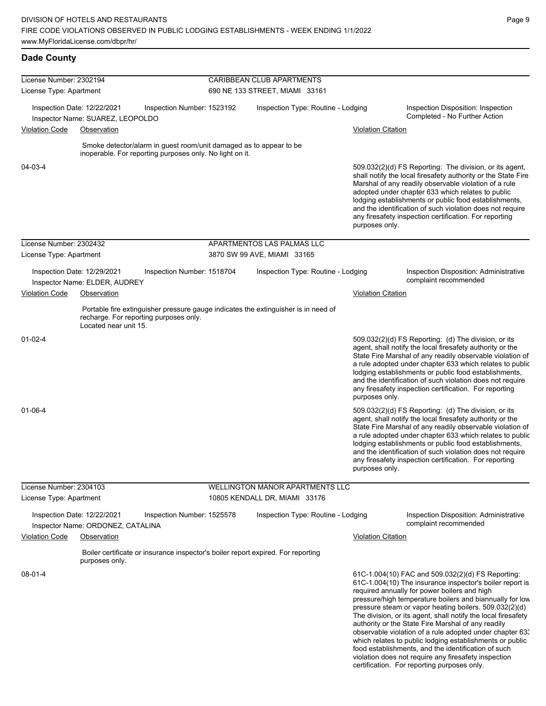| License Number: 2302194 |                                                                  | CARIBBEAN CLUB APARTMENTS                                                                                                      |                             |                                                                                    |                           |                                                                                                                                                                                                                                                                                                                                                                                                                                                                                                                                                                                                                                                   |  |
|-------------------------|------------------------------------------------------------------|--------------------------------------------------------------------------------------------------------------------------------|-----------------------------|------------------------------------------------------------------------------------|---------------------------|---------------------------------------------------------------------------------------------------------------------------------------------------------------------------------------------------------------------------------------------------------------------------------------------------------------------------------------------------------------------------------------------------------------------------------------------------------------------------------------------------------------------------------------------------------------------------------------------------------------------------------------------------|--|
| License Type: Apartment |                                                                  |                                                                                                                                |                             | 690 NE 133 STREET, MIAMI 33161                                                     |                           |                                                                                                                                                                                                                                                                                                                                                                                                                                                                                                                                                                                                                                                   |  |
|                         | Inspection Date: 12/22/2021                                      | Inspection Number: 1523192                                                                                                     |                             | Inspection Type: Routine - Lodging                                                 |                           | Inspection Disposition: Inspection<br>Completed - No Further Action                                                                                                                                                                                                                                                                                                                                                                                                                                                                                                                                                                               |  |
| <b>Violation Code</b>   | Inspector Name: SUAREZ, LEOPOLDO<br>Observation                  |                                                                                                                                |                             |                                                                                    | <b>Violation Citation</b> |                                                                                                                                                                                                                                                                                                                                                                                                                                                                                                                                                                                                                                                   |  |
|                         |                                                                  |                                                                                                                                |                             |                                                                                    |                           |                                                                                                                                                                                                                                                                                                                                                                                                                                                                                                                                                                                                                                                   |  |
|                         |                                                                  | Smoke detector/alarm in guest room/unit damaged as to appear to be<br>inoperable. For reporting purposes only. No light on it. |                             |                                                                                    |                           |                                                                                                                                                                                                                                                                                                                                                                                                                                                                                                                                                                                                                                                   |  |
| 04-03-4                 |                                                                  |                                                                                                                                |                             |                                                                                    | purposes only.            | 509.032(2)(d) FS Reporting: The division, or its agent,<br>shall notify the local firesafety authority or the State Fire<br>Marshal of any readily observable violation of a rule<br>adopted under chapter 633 which relates to public<br>lodging establishments or public food establishments,<br>and the identification of such violation does not require<br>any firesafety inspection certification. For reporting                                                                                                                                                                                                                            |  |
| License Number: 2302432 |                                                                  |                                                                                                                                |                             | APARTMENTOS LAS PALMAS LLC                                                         |                           |                                                                                                                                                                                                                                                                                                                                                                                                                                                                                                                                                                                                                                                   |  |
| License Type: Apartment |                                                                  |                                                                                                                                | 3870 SW 99 AVE, MIAMI 33165 |                                                                                    |                           |                                                                                                                                                                                                                                                                                                                                                                                                                                                                                                                                                                                                                                                   |  |
|                         | Inspection Date: 12/29/2021<br>Inspector Name: ELDER, AUDREY     | Inspection Number: 1518704                                                                                                     |                             | Inspection Type: Routine - Lodging                                                 |                           | <b>Inspection Disposition: Administrative</b><br>complaint recommended                                                                                                                                                                                                                                                                                                                                                                                                                                                                                                                                                                            |  |
| Violation Code          | Observation                                                      |                                                                                                                                |                             |                                                                                    | <b>Violation Citation</b> |                                                                                                                                                                                                                                                                                                                                                                                                                                                                                                                                                                                                                                                   |  |
|                         | Located near unit 15.                                            | recharge. For reporting purposes only.                                                                                         |                             | Portable fire extinguisher pressure gauge indicates the extinguisher is in need of |                           |                                                                                                                                                                                                                                                                                                                                                                                                                                                                                                                                                                                                                                                   |  |
| $01-02-4$               |                                                                  |                                                                                                                                |                             |                                                                                    | purposes only.            | $509.032(2)(d)$ FS Reporting: (d) The division, or its<br>agent, shall notify the local firesafety authority or the<br>State Fire Marshal of any readily observable violation of<br>a rule adopted under chapter 633 which relates to public<br>lodging establishments or public food establishments,<br>and the identification of such violation does not require<br>any firesafety inspection certification. For reporting                                                                                                                                                                                                                      |  |
| 01-06-4                 |                                                                  |                                                                                                                                |                             |                                                                                    | purposes only.            | 509.032(2)(d) FS Reporting: (d) The division, or its<br>agent, shall notify the local firesafety authority or the<br>State Fire Marshal of any readily observable violation of<br>a rule adopted under chapter 633 which relates to public<br>lodging establishments or public food establishments,<br>and the identification of such violation does not require<br>any firesafety inspection certification. For reporting                                                                                                                                                                                                                        |  |
| License Number: 2304103 |                                                                  |                                                                                                                                |                             | <b>WELLINGTON MANOR APARTMENTS LLC</b>                                             |                           |                                                                                                                                                                                                                                                                                                                                                                                                                                                                                                                                                                                                                                                   |  |
| License Type: Apartment |                                                                  |                                                                                                                                |                             | 10805 KENDALL DR, MIAMI 33176                                                      |                           |                                                                                                                                                                                                                                                                                                                                                                                                                                                                                                                                                                                                                                                   |  |
|                         | Inspection Date: 12/22/2021<br>Inspector Name: ORDONEZ, CATALINA | Inspection Number: 1525578                                                                                                     |                             | Inspection Type: Routine - Lodging                                                 |                           | Inspection Disposition: Administrative<br>complaint recommended                                                                                                                                                                                                                                                                                                                                                                                                                                                                                                                                                                                   |  |
| <b>Violation Code</b>   | Observation                                                      |                                                                                                                                |                             |                                                                                    | <b>Violation Citation</b> |                                                                                                                                                                                                                                                                                                                                                                                                                                                                                                                                                                                                                                                   |  |
|                         | purposes only.                                                   |                                                                                                                                |                             | Boiler certificate or insurance inspector's boiler report expired. For reporting   |                           |                                                                                                                                                                                                                                                                                                                                                                                                                                                                                                                                                                                                                                                   |  |
| 08-01-4                 |                                                                  |                                                                                                                                |                             |                                                                                    |                           | 61C-1.004(10) FAC and 509.032(2)(d) FS Reporting:<br>61C-1.004(10) The insurance inspector's boiler report is<br>required annually for power boilers and high<br>pressure/high temperature boilers and biannually for low<br>pressure steam or vapor heating boilers. 509.032(2)(d)<br>The division, or its agent, shall notify the local firesafety<br>authority or the State Fire Marshal of any readily<br>observable violation of a rule adopted under chapter 63.<br>which relates to public lodging establishments or public<br>food establishments, and the identification of such<br>violation does not require any firesafety inspection |  |

certification. For reporting purposes only.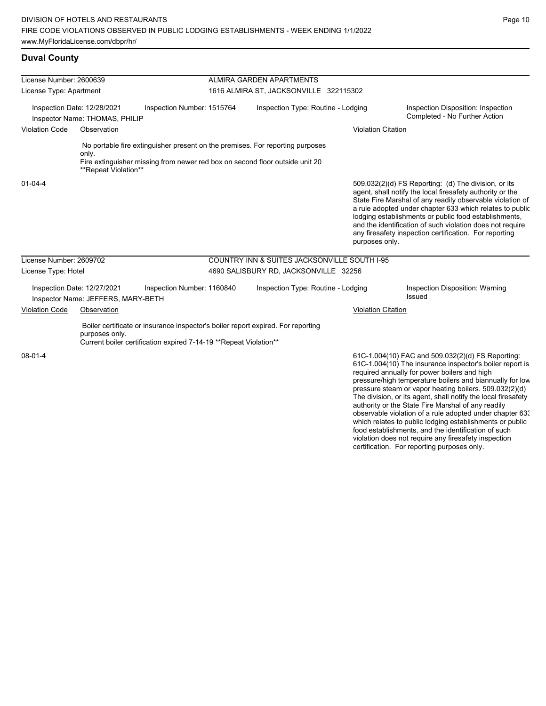violation does not require any firesafety inspection certification. For reporting purposes only.

## **Duval County**

| License Number: 2600639              |                                                                   |                                                                                                                                                        |                                    | ALMIRA GARDEN APARTMENTS                                                                                                                                      |                           |                                                                                                                                                                                                                                                                                                                                                                                                                                                                                                                                                                                           |
|--------------------------------------|-------------------------------------------------------------------|--------------------------------------------------------------------------------------------------------------------------------------------------------|------------------------------------|---------------------------------------------------------------------------------------------------------------------------------------------------------------|---------------------------|-------------------------------------------------------------------------------------------------------------------------------------------------------------------------------------------------------------------------------------------------------------------------------------------------------------------------------------------------------------------------------------------------------------------------------------------------------------------------------------------------------------------------------------------------------------------------------------------|
| License Type: Apartment              |                                                                   |                                                                                                                                                        |                                    | 1616 ALMIRA ST, JACKSONVILLE 322115302                                                                                                                        |                           |                                                                                                                                                                                                                                                                                                                                                                                                                                                                                                                                                                                           |
|                                      | Inspection Date: 12/28/2021<br>Inspector Name: THOMAS, PHILIP     | Inspection Number: 1515764                                                                                                                             | Inspection Type: Routine - Lodging |                                                                                                                                                               |                           | Inspection Disposition: Inspection<br>Completed - No Further Action                                                                                                                                                                                                                                                                                                                                                                                                                                                                                                                       |
| <b>Violation Code</b><br>Observation |                                                                   |                                                                                                                                                        |                                    |                                                                                                                                                               | <b>Violation Citation</b> |                                                                                                                                                                                                                                                                                                                                                                                                                                                                                                                                                                                           |
|                                      | only.<br>**Repeat Violation**                                     |                                                                                                                                                        |                                    | No portable fire extinguisher present on the premises. For reporting purposes<br>Fire extinguisher missing from newer red box on second floor outside unit 20 |                           |                                                                                                                                                                                                                                                                                                                                                                                                                                                                                                                                                                                           |
| $01 - 04 - 4$                        |                                                                   |                                                                                                                                                        |                                    |                                                                                                                                                               | purposes only.            | 509.032(2)(d) FS Reporting: (d) The division, or its<br>agent, shall notify the local firesafety authority or the<br>State Fire Marshal of any readily observable violation of<br>a rule adopted under chapter 633 which relates to public<br>lodging establishments or public food establishments,<br>and the identification of such violation does not require<br>any firesafety inspection certification. For reporting                                                                                                                                                                |
| License Number: 2609702              |                                                                   |                                                                                                                                                        |                                    | <b>COUNTRY INN &amp; SUITES JACKSONVILLE SOUTH I-95</b>                                                                                                       |                           |                                                                                                                                                                                                                                                                                                                                                                                                                                                                                                                                                                                           |
| License Type: Hotel                  |                                                                   |                                                                                                                                                        |                                    | 4690 SALISBURY RD, JACKSONVILLE 32256                                                                                                                         |                           |                                                                                                                                                                                                                                                                                                                                                                                                                                                                                                                                                                                           |
|                                      | Inspection Date: 12/27/2021<br>Inspector Name: JEFFERS, MARY-BETH | Inspection Number: 1160840                                                                                                                             |                                    | Inspection Type: Routine - Lodging                                                                                                                            |                           | Inspection Disposition: Warning<br>Issued                                                                                                                                                                                                                                                                                                                                                                                                                                                                                                                                                 |
| <b>Violation Code</b>                | Observation                                                       |                                                                                                                                                        |                                    |                                                                                                                                                               | <b>Violation Citation</b> |                                                                                                                                                                                                                                                                                                                                                                                                                                                                                                                                                                                           |
|                                      | purposes only.                                                    | Boiler certificate or insurance inspector's boiler report expired. For reporting<br>Current boiler certification expired 7-14-19 ** Repeat Violation** |                                    |                                                                                                                                                               |                           |                                                                                                                                                                                                                                                                                                                                                                                                                                                                                                                                                                                           |
| 08-01-4                              |                                                                   |                                                                                                                                                        |                                    |                                                                                                                                                               |                           | 61C-1.004(10) FAC and 509.032(2)(d) FS Reporting:<br>61C-1.004(10) The insurance inspector's boiler report is<br>required annually for power boilers and high<br>pressure/high temperature boilers and biannually for low<br>pressure steam or vapor heating boilers. 509.032(2)(d)<br>The division, or its agent, shall notify the local firesafety<br>authority or the State Fire Marshal of any readily<br>observable violation of a rule adopted under chapter 633<br>which relates to public lodging establishments or public<br>food establishments, and the identification of such |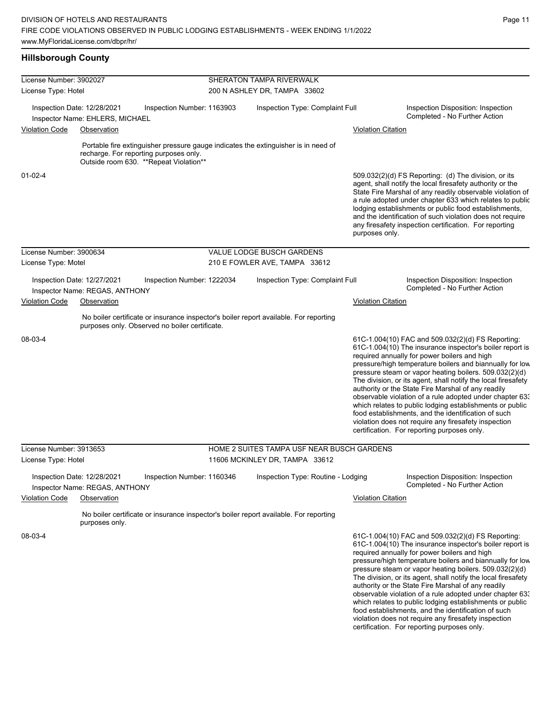# **Hillsborough County**

| License Number: 3902027 |                                                                |                                                                                   | <b>SHERATON TAMPA RIVERWALK</b>                                                       |                           |                                                                                                                                                                                                                                                                                                                                                                                                                                                                                                                                                                                                                                                                                                  |
|-------------------------|----------------------------------------------------------------|-----------------------------------------------------------------------------------|---------------------------------------------------------------------------------------|---------------------------|--------------------------------------------------------------------------------------------------------------------------------------------------------------------------------------------------------------------------------------------------------------------------------------------------------------------------------------------------------------------------------------------------------------------------------------------------------------------------------------------------------------------------------------------------------------------------------------------------------------------------------------------------------------------------------------------------|
| License Type: Hotel     |                                                                |                                                                                   | 200 N ASHLEY DR, TAMPA 33602                                                          |                           |                                                                                                                                                                                                                                                                                                                                                                                                                                                                                                                                                                                                                                                                                                  |
|                         | Inspection Date: 12/28/2021<br>Inspector Name: EHLERS, MICHAEL | Inspection Number: 1163903                                                        | Inspection Type: Complaint Full                                                       |                           | Inspection Disposition: Inspection<br>Completed - No Further Action                                                                                                                                                                                                                                                                                                                                                                                                                                                                                                                                                                                                                              |
| <b>Violation Code</b>   | Observation                                                    |                                                                                   |                                                                                       | <b>Violation Citation</b> |                                                                                                                                                                                                                                                                                                                                                                                                                                                                                                                                                                                                                                                                                                  |
|                         |                                                                |                                                                                   |                                                                                       |                           |                                                                                                                                                                                                                                                                                                                                                                                                                                                                                                                                                                                                                                                                                                  |
|                         |                                                                | recharge. For reporting purposes only.<br>Outside room 630. ** Repeat Violation** | Portable fire extinguisher pressure gauge indicates the extinguisher is in need of    |                           |                                                                                                                                                                                                                                                                                                                                                                                                                                                                                                                                                                                                                                                                                                  |
| $01 - 02 - 4$           |                                                                |                                                                                   |                                                                                       | purposes only.            | 509.032(2)(d) FS Reporting (d) The division, or its<br>agent, shall notify the local firesafety authority or the<br>State Fire Marshal of any readily observable violation of<br>a rule adopted under chapter 633 which relates to public<br>lodging establishments or public food establishments,<br>and the identification of such violation does not require<br>any firesafety inspection certification. For reporting                                                                                                                                                                                                                                                                        |
| License Number: 3900634 |                                                                |                                                                                   | VALUE LODGE BUSCH GARDENS                                                             |                           |                                                                                                                                                                                                                                                                                                                                                                                                                                                                                                                                                                                                                                                                                                  |
| License Type: Motel     |                                                                |                                                                                   | 210 E FOWLER AVE, TAMPA 33612                                                         |                           |                                                                                                                                                                                                                                                                                                                                                                                                                                                                                                                                                                                                                                                                                                  |
|                         | Inspection Date: 12/27/2021<br>Inspector Name: REGAS, ANTHONY  | Inspection Number: 1222034                                                        | Inspection Type: Complaint Full                                                       |                           | Inspection Disposition: Inspection<br>Completed - No Further Action                                                                                                                                                                                                                                                                                                                                                                                                                                                                                                                                                                                                                              |
| <b>Violation Code</b>   | Observation                                                    |                                                                                   |                                                                                       | <b>Violation Citation</b> |                                                                                                                                                                                                                                                                                                                                                                                                                                                                                                                                                                                                                                                                                                  |
|                         |                                                                | purposes only. Observed no boiler certificate.                                    | No boiler certificate or insurance inspector's boiler report available. For reporting |                           |                                                                                                                                                                                                                                                                                                                                                                                                                                                                                                                                                                                                                                                                                                  |
| 08-03-4                 |                                                                |                                                                                   |                                                                                       |                           | 61C-1.004(10) FAC and 509.032(2)(d) FS Reporting:<br>61C-1.004(10) The insurance inspector's boiler report is<br>required annually for power boilers and high<br>pressure/high temperature boilers and biannually for low<br>pressure steam or vapor heating boilers. 509.032(2)(d)<br>The division, or its agent, shall notify the local firesafety<br>authority or the State Fire Marshal of any readily<br>observable violation of a rule adopted under chapter 63.<br>which relates to public lodging establishments or public<br>food establishments, and the identification of such<br>violation does not require any firesafety inspection<br>certification. For reporting purposes only. |
| License Number: 3913653 |                                                                |                                                                                   | HOME 2 SUITES TAMPA USF NEAR BUSCH GARDENS                                            |                           |                                                                                                                                                                                                                                                                                                                                                                                                                                                                                                                                                                                                                                                                                                  |
| License Type: Hotel     |                                                                |                                                                                   | 11606 MCKINLEY DR, TAMPA 33612                                                        |                           |                                                                                                                                                                                                                                                                                                                                                                                                                                                                                                                                                                                                                                                                                                  |
|                         | Inspection Date: 12/28/2021<br>Inspector Name: REGAS, ANTHONY  | Inspection Number: 1160346                                                        | Inspection Type: Routine - Lodging                                                    |                           | Inspection Disposition: Inspection<br>Completed - No Further Action                                                                                                                                                                                                                                                                                                                                                                                                                                                                                                                                                                                                                              |
| <b>Violation Code</b>   | Observation                                                    |                                                                                   |                                                                                       | <b>Violation Citation</b> |                                                                                                                                                                                                                                                                                                                                                                                                                                                                                                                                                                                                                                                                                                  |
|                         | purposes only.                                                 |                                                                                   | No boiler certificate or insurance inspector's boiler report available. For reporting |                           |                                                                                                                                                                                                                                                                                                                                                                                                                                                                                                                                                                                                                                                                                                  |
| 08-03-4                 |                                                                |                                                                                   |                                                                                       |                           | 61C-1.004(10) FAC and 509.032(2)(d) FS Reporting:<br>61C-1.004(10) The insurance inspector's boiler report is<br>required annually for power boilers and high<br>pressure/high temperature boilers and biannually for low<br>pressure steam or vapor heating boilers. 509.032(2)(d)<br>The division, or its agent, shall notify the local firesafety<br>authority or the State Fire Marshal of any readily<br>observable violation of a rule adopted under chapter 633<br>which relates to public lodging establishments or public<br>food establishments, and the identification of such<br>violation does not require any firesafety inspection<br>certification. For reporting purposes only. |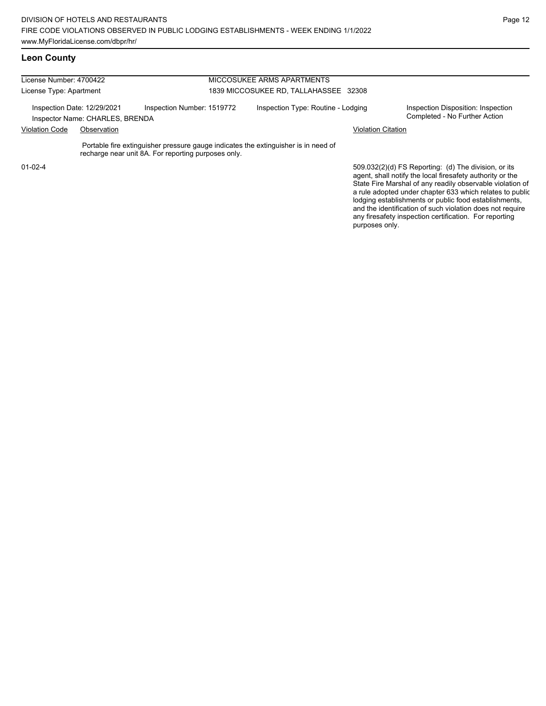| License Number: 4700422 |                                                                |                                                                                                                                           | MICCOSUKEE ARMS APARTMENTS            |                                                                                                                   |  |  |  |
|-------------------------|----------------------------------------------------------------|-------------------------------------------------------------------------------------------------------------------------------------------|---------------------------------------|-------------------------------------------------------------------------------------------------------------------|--|--|--|
| License Type: Apartment |                                                                |                                                                                                                                           | 1839 MICCOSUKEE RD, TALLAHASSEE 32308 |                                                                                                                   |  |  |  |
|                         | Inspection Date: 12/29/2021<br>Inspector Name: CHARLES, BRENDA | Inspection Number: 1519772                                                                                                                | Inspection Type: Routine - Lodging    | Inspection Disposition: Inspection<br>Completed - No Further Action                                               |  |  |  |
| <b>Violation Code</b>   | Observation                                                    |                                                                                                                                           | <b>Violation Citation</b>             |                                                                                                                   |  |  |  |
|                         |                                                                | Portable fire extinguisher pressure gauge indicates the extinguisher is in need of<br>recharge near unit 8A. For reporting purposes only. |                                       |                                                                                                                   |  |  |  |
| $01 - 02 - 4$           |                                                                |                                                                                                                                           |                                       | 509.032(2)(d) FS Reporting: (d) The division, or its<br>agent, shall notify the local firesafety authority or the |  |  |  |

State Fire Marshal of any readily observable violation of a rule adopted under chapter 633 which relates to public lodging establishments or public food establishments, and the identification of such violation does not require any firesafety inspection certification. For reporting purposes only.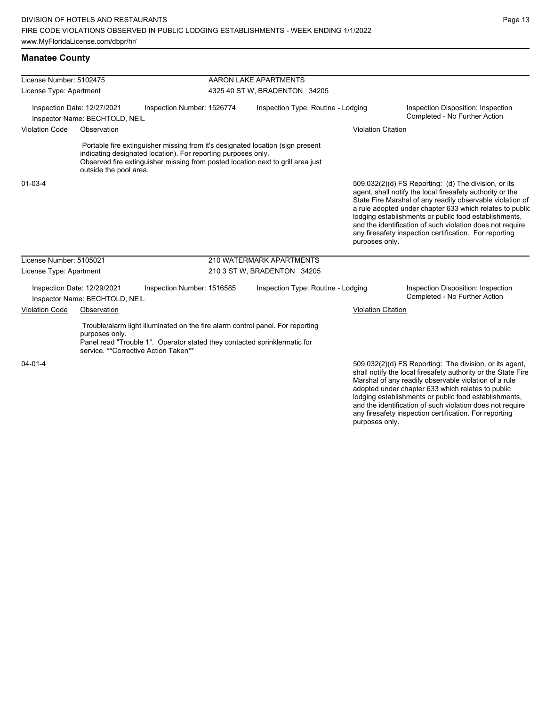| License Number: 5102475 |                                                               |                                                                                                                                                                                                     | AARON LAKE APARTMENTS         |                                                                                                                                                                   |  |                                                                                                                                                                                                                                                                                                                                                                                                                                              |  |  |
|-------------------------|---------------------------------------------------------------|-----------------------------------------------------------------------------------------------------------------------------------------------------------------------------------------------------|-------------------------------|-------------------------------------------------------------------------------------------------------------------------------------------------------------------|--|----------------------------------------------------------------------------------------------------------------------------------------------------------------------------------------------------------------------------------------------------------------------------------------------------------------------------------------------------------------------------------------------------------------------------------------------|--|--|
| License Type: Apartment |                                                               |                                                                                                                                                                                                     | 4325 40 ST W, BRADENTON 34205 |                                                                                                                                                                   |  |                                                                                                                                                                                                                                                                                                                                                                                                                                              |  |  |
|                         | Inspection Date: 12/27/2021<br>Inspector Name: BECHTOLD, NEIL | Inspection Number: 1526774                                                                                                                                                                          |                               | Inspection Type: Routine - Lodging                                                                                                                                |  | Inspection Disposition: Inspection<br>Completed - No Further Action                                                                                                                                                                                                                                                                                                                                                                          |  |  |
| <b>Violation Code</b>   | Observation                                                   |                                                                                                                                                                                                     |                               |                                                                                                                                                                   |  | <b>Violation Citation</b>                                                                                                                                                                                                                                                                                                                                                                                                                    |  |  |
|                         | outside the pool area.                                        | indicating designated location). For reporting purposes only.                                                                                                                                       |                               | Portable fire extinguisher missing from it's designated location (sign present<br>Observed fire extinguisher missing from posted location next to grill area just |  |                                                                                                                                                                                                                                                                                                                                                                                                                                              |  |  |
| $01 - 03 - 4$           |                                                               |                                                                                                                                                                                                     |                               |                                                                                                                                                                   |  | 509.032(2)(d) FS Reporting: (d) The division, or its<br>agent, shall notify the local firesafety authority or the<br>State Fire Marshal of any readily observable violation of<br>a rule adopted under chapter 633 which relates to public<br>lodging establishments or public food establishments,<br>and the identification of such violation does not require<br>any firesafety inspection certification. For reporting<br>purposes only. |  |  |
| License Number: 5105021 |                                                               |                                                                                                                                                                                                     |                               | 210 WATERMARK APARTMENTS                                                                                                                                          |  |                                                                                                                                                                                                                                                                                                                                                                                                                                              |  |  |
| License Type: Apartment |                                                               |                                                                                                                                                                                                     |                               | 210 3 ST W, BRADENTON 34205                                                                                                                                       |  |                                                                                                                                                                                                                                                                                                                                                                                                                                              |  |  |
|                         | Inspection Date: 12/29/2021<br>Inspector Name: BECHTOLD, NEIL | Inspection Number: 1516585                                                                                                                                                                          |                               | Inspection Type: Routine - Lodging                                                                                                                                |  | Inspection Disposition: Inspection<br>Completed - No Further Action                                                                                                                                                                                                                                                                                                                                                                          |  |  |
| <b>Violation Code</b>   | Observation                                                   |                                                                                                                                                                                                     |                               |                                                                                                                                                                   |  | <b>Violation Citation</b>                                                                                                                                                                                                                                                                                                                                                                                                                    |  |  |
|                         | purposes only.                                                | Trouble/alarm light illuminated on the fire alarm control panel. For reporting<br>Panel read "Trouble 1". Operator stated they contacted sprinklermatic for<br>service. **Corrective Action Taken** |                               |                                                                                                                                                                   |  |                                                                                                                                                                                                                                                                                                                                                                                                                                              |  |  |
| $04 - 01 - 4$           |                                                               |                                                                                                                                                                                                     |                               |                                                                                                                                                                   |  | 509.032(2)(d) FS Reporting: The division, or its agent,<br>shall notify the local firesafety authority or the State Fire<br>Marshal of any readily observable violation of a rule<br>adopted under chapter 633 which relates to public<br>Indaina establishments or public food establishments                                                                                                                                               |  |  |

lodging establishments or public food establishments, and the identification of such violation does not require any firesafety inspection certification. For reporting purposes only.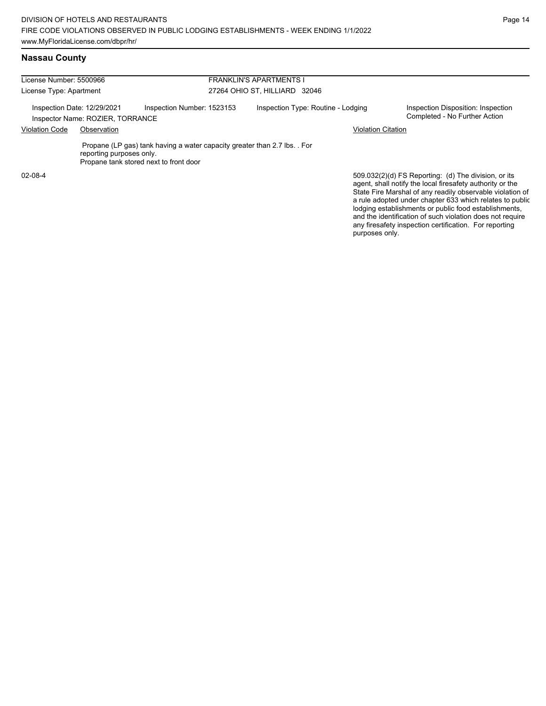any firesafety inspection certification. For reporting

purposes only.

## **Nassau County**

| License Number: 5500966                                         |                          |                                                                                                                     | <b>FRANKLIN'S APARTMENTS I</b>     |                           |                                                                                                                                                                                                                                                                                                                                                                  |  |  |
|-----------------------------------------------------------------|--------------------------|---------------------------------------------------------------------------------------------------------------------|------------------------------------|---------------------------|------------------------------------------------------------------------------------------------------------------------------------------------------------------------------------------------------------------------------------------------------------------------------------------------------------------------------------------------------------------|--|--|
| License Type: Apartment                                         |                          |                                                                                                                     | 27264 OHIO ST, HILLIARD 32046      |                           |                                                                                                                                                                                                                                                                                                                                                                  |  |  |
| Inspection Date: 12/29/2021<br>Inspector Name: ROZIER, TORRANCE |                          | Inspection Number: 1523153                                                                                          | Inspection Type: Routine - Lodging |                           | Inspection Disposition: Inspection<br>Completed - No Further Action                                                                                                                                                                                                                                                                                              |  |  |
| <b>Violation Code</b><br>Observation                            |                          |                                                                                                                     |                                    | <b>Violation Citation</b> |                                                                                                                                                                                                                                                                                                                                                                  |  |  |
|                                                                 | reporting purposes only. | Propane (LP gas) tank having a water capacity greater than 2.7 lbs. . For<br>Propane tank stored next to front door |                                    |                           |                                                                                                                                                                                                                                                                                                                                                                  |  |  |
| 02-08-4                                                         |                          |                                                                                                                     |                                    |                           | 509.032(2)(d) FS Reporting: (d) The division, or its<br>agent, shall notify the local firesafety authority or the<br>State Fire Marshal of any readily observable violation of<br>a rule adopted under chapter 633 which relates to public<br>lodging establishments or public food establishments,<br>and the identification of such violation does not require |  |  |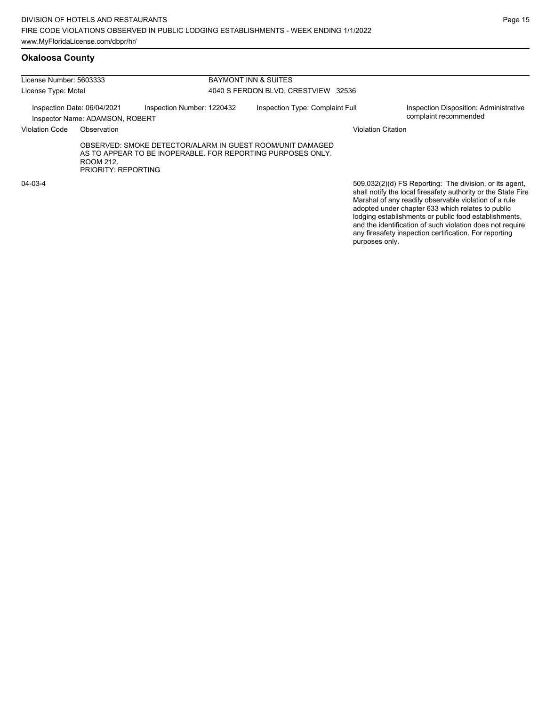#### **Okaloosa County**

| License Number: 5603333 |                                                                |                                                                                                                          | BAYMONT INN & SUITES                |                           |                                                                                                                                                                                                                                        |  |  |
|-------------------------|----------------------------------------------------------------|--------------------------------------------------------------------------------------------------------------------------|-------------------------------------|---------------------------|----------------------------------------------------------------------------------------------------------------------------------------------------------------------------------------------------------------------------------------|--|--|
| License Type: Motel     |                                                                |                                                                                                                          | 4040 S FERDON BLVD, CRESTVIEW 32536 |                           |                                                                                                                                                                                                                                        |  |  |
|                         | Inspection Date: 06/04/2021<br>Inspector Name: ADAMSON, ROBERT | Inspection Number: 1220432                                                                                               | Inspection Type: Complaint Full     |                           | Inspection Disposition: Administrative<br>complaint recommended                                                                                                                                                                        |  |  |
| <b>Violation Code</b>   | Observation                                                    |                                                                                                                          |                                     | <b>Violation Citation</b> |                                                                                                                                                                                                                                        |  |  |
|                         | ROOM 212.<br>PRIORITY REPORTING                                | OBSERVED: SMOKE DETECTOR/ALARM IN GUEST ROOM/UNIT DAMAGED<br>AS TO APPEAR TO BE INOPERABLE. FOR REPORTING PURPOSES ONLY. |                                     |                           |                                                                                                                                                                                                                                        |  |  |
| $04 - 03 - 4$           |                                                                |                                                                                                                          |                                     |                           | 509.032(2)(d) FS Reporting: The division, or its agent.<br>shall notify the local firesafety authority or the State Fire<br>Marshal of any readily observable violation of a rule<br>adopted under chapter 633 which relates to public |  |  |

adopted under chapter 633 which relates to public lodging establishments or public food establishments, and the identification of such violation does not require any firesafety inspection certification. For reporting purposes only.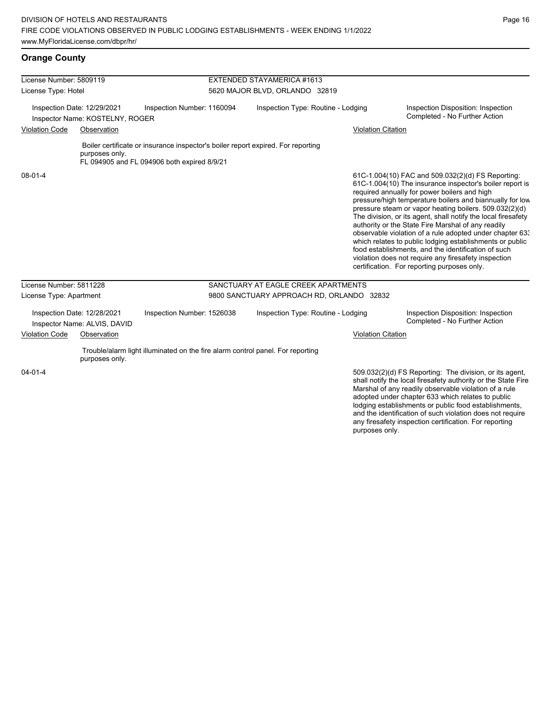# **Orange County**

| License Number: 5809119                                                                                |                                                             |                                             | EXTENDED STAYAMERICA #1613                |                                                                                  |                           |                                                                                                                                                                                                                                                                                                                                                                                                                                                                                                                                                                                                                                                                                                  |  |  |
|--------------------------------------------------------------------------------------------------------|-------------------------------------------------------------|---------------------------------------------|-------------------------------------------|----------------------------------------------------------------------------------|---------------------------|--------------------------------------------------------------------------------------------------------------------------------------------------------------------------------------------------------------------------------------------------------------------------------------------------------------------------------------------------------------------------------------------------------------------------------------------------------------------------------------------------------------------------------------------------------------------------------------------------------------------------------------------------------------------------------------------------|--|--|
| License Type: Hotel                                                                                    |                                                             |                                             | 5620 MAJOR BLVD, ORLANDO 32819            |                                                                                  |                           |                                                                                                                                                                                                                                                                                                                                                                                                                                                                                                                                                                                                                                                                                                  |  |  |
| Inspection Date: 12/29/2021<br>Inspector Name: KOSTELNY, ROGER<br><b>Violation Code</b><br>Observation |                                                             | Inspection Number: 1160094                  |                                           | Inspection Type: Routine - Lodging                                               |                           | Inspection Disposition: Inspection<br>Completed - No Further Action<br><b>Violation Citation</b>                                                                                                                                                                                                                                                                                                                                                                                                                                                                                                                                                                                                 |  |  |
|                                                                                                        | purposes only.                                              | FL 094905 and FL 094906 both expired 8/9/21 |                                           | Boiler certificate or insurance inspector's boiler report expired. For reporting |                           |                                                                                                                                                                                                                                                                                                                                                                                                                                                                                                                                                                                                                                                                                                  |  |  |
| $08 - 01 - 4$                                                                                          |                                                             |                                             |                                           |                                                                                  |                           | 61C-1.004(10) FAC and 509.032(2)(d) FS Reporting:<br>61C-1.004(10) The insurance inspector's boiler report is<br>required annually for power boilers and high<br>pressure/high temperature boilers and biannually for low<br>pressure steam or vapor heating boilers. 509.032(2)(d)<br>The division, or its agent, shall notify the local firesafety<br>authority or the State Fire Marshal of any readily<br>observable violation of a rule adopted under chapter 63.<br>which relates to public lodging establishments or public<br>food establishments, and the identification of such<br>violation does not require any firesafety inspection<br>certification. For reporting purposes only. |  |  |
| License Number: 5811228                                                                                |                                                             |                                             |                                           | SANCTUARY AT EAGLE CREEK APARTMENTS                                              |                           |                                                                                                                                                                                                                                                                                                                                                                                                                                                                                                                                                                                                                                                                                                  |  |  |
| License Type: Apartment                                                                                |                                                             |                                             | 9800 SANCTUARY APPROACH RD, ORLANDO 32832 |                                                                                  |                           |                                                                                                                                                                                                                                                                                                                                                                                                                                                                                                                                                                                                                                                                                                  |  |  |
|                                                                                                        | Inspection Date: 12/28/2021<br>Inspector Name: ALVIS, DAVID | Inspection Number: 1526038                  |                                           | Inspection Type: Routine - Lodging                                               |                           | Inspection Disposition: Inspection<br>Completed - No Further Action                                                                                                                                                                                                                                                                                                                                                                                                                                                                                                                                                                                                                              |  |  |
| <b>Violation Code</b>                                                                                  | Observation                                                 |                                             |                                           |                                                                                  | <b>Violation Citation</b> |                                                                                                                                                                                                                                                                                                                                                                                                                                                                                                                                                                                                                                                                                                  |  |  |
|                                                                                                        | purposes only.                                              |                                             |                                           | Trouble/alarm light illuminated on the fire alarm control panel. For reporting   |                           |                                                                                                                                                                                                                                                                                                                                                                                                                                                                                                                                                                                                                                                                                                  |  |  |
| $04 - 01 - 4$                                                                                          |                                                             |                                             |                                           |                                                                                  | purposes only.            | 509.032(2)(d) FS Reporting: The division, or its agent,<br>shall notify the local firesafety authority or the State Fire<br>Marshal of any readily observable violation of a rule<br>adopted under chapter 633 which relates to public<br>lodging establishments or public food establishments,<br>and the identification of such violation does not require<br>any firesafety inspection certification. For reporting                                                                                                                                                                                                                                                                           |  |  |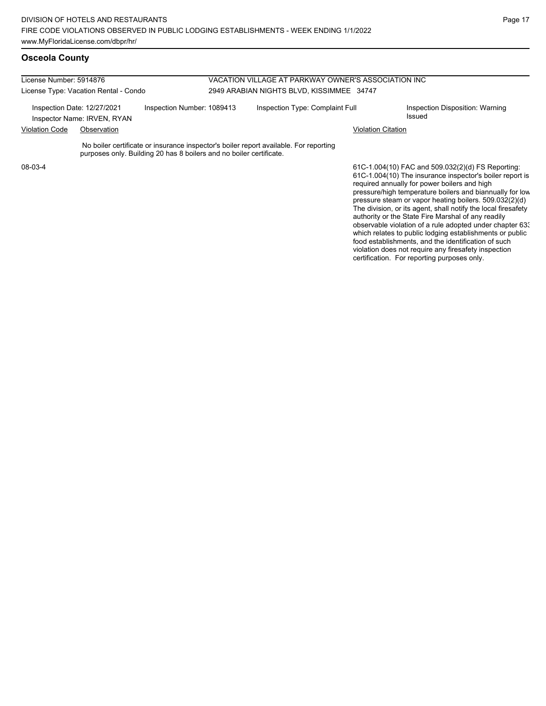#### **Osceola County**

| License Number: 5914876                                                                  |             | VACATION VILLAGE AT PARKWAY OWNER'S ASSOCIATION INC<br>2949 ARABIAN NIGHTS BLVD, KISSIMMEE 34747 |                                 |                                                                                       |                                           |                                                                                                                                                               |
|------------------------------------------------------------------------------------------|-------------|--------------------------------------------------------------------------------------------------|---------------------------------|---------------------------------------------------------------------------------------|-------------------------------------------|---------------------------------------------------------------------------------------------------------------------------------------------------------------|
| License Type: Vacation Rental - Condo                                                    |             |                                                                                                  |                                 |                                                                                       |                                           |                                                                                                                                                               |
| Inspection Date: 12/27/2021<br>Inspection Number: 1089413<br>Inspector Name: IRVEN, RYAN |             |                                                                                                  | Inspection Type: Complaint Full |                                                                                       | Inspection Disposition: Warning<br>Issued |                                                                                                                                                               |
| <b>Violation Code</b>                                                                    | Observation |                                                                                                  |                                 |                                                                                       | <b>Violation Citation</b>                 |                                                                                                                                                               |
|                                                                                          |             | purposes only. Building 20 has 8 boilers and no boiler certificate.                              |                                 | No boiler certificate or insurance inspector's boiler report available. For reporting |                                           |                                                                                                                                                               |
| 08-03-4                                                                                  |             |                                                                                                  |                                 |                                                                                       |                                           | 61C-1.004(10) FAC and 509.032(2)(d) FS Reporting:<br>61C-1.004(10) The insurance inspector's boiler report is<br>required annually for power boilers and high |

pressure/high temperature boilers and biannually for low pressure steam or vapor heating boilers. 509.032(2)(d) The division, or its agent, shall notify the local firesafety authority or the State Fire Marshal of any readily observable violation of a rule adopted under chapter 633 which relates to public lodging establishments or public food establishments, and the identification of such violation does not require any firesafety inspection certification. For reporting purposes only.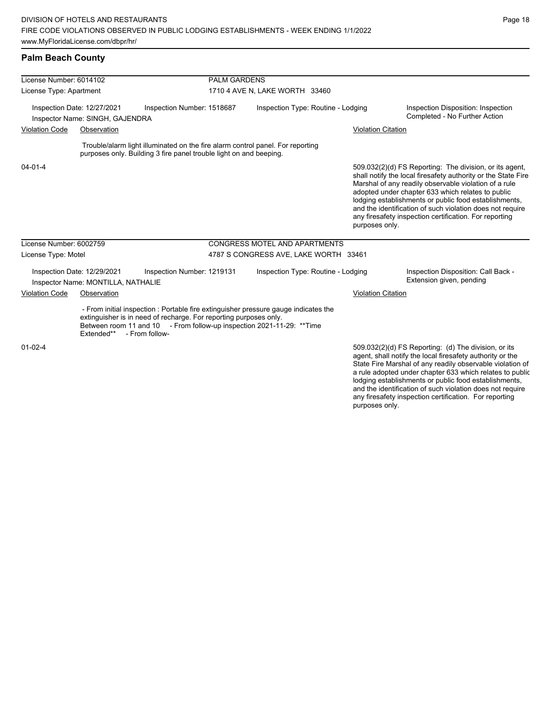## **Palm Beach County**

| License Number: 6014102<br>License Type: Apartment                                           |                                                                   |                                                                                                                                                      | <b>PALM GARDENS</b>            |                                                                                     |                                                                     |                                                                                                                                                                                                                                                                                                                                                                                                                        |
|----------------------------------------------------------------------------------------------|-------------------------------------------------------------------|------------------------------------------------------------------------------------------------------------------------------------------------------|--------------------------------|-------------------------------------------------------------------------------------|---------------------------------------------------------------------|------------------------------------------------------------------------------------------------------------------------------------------------------------------------------------------------------------------------------------------------------------------------------------------------------------------------------------------------------------------------------------------------------------------------|
|                                                                                              |                                                                   |                                                                                                                                                      | 1710 4 AVE N, LAKE WORTH 33460 |                                                                                     |                                                                     |                                                                                                                                                                                                                                                                                                                                                                                                                        |
| Inspection Date: 12/27/2021<br>Inspection Number: 1518687<br>Inspector Name: SINGH, GAJENDRA |                                                                   | Inspection Type: Routine - Lodging                                                                                                                   |                                |                                                                                     | Inspection Disposition: Inspection<br>Completed - No Further Action |                                                                                                                                                                                                                                                                                                                                                                                                                        |
| <b>Violation Code</b>                                                                        | Observation                                                       |                                                                                                                                                      |                                |                                                                                     | <b>Violation Citation</b>                                           |                                                                                                                                                                                                                                                                                                                                                                                                                        |
|                                                                                              |                                                                   | Trouble/alarm light illuminated on the fire alarm control panel. For reporting<br>purposes only. Building 3 fire panel trouble light on and beeping. |                                |                                                                                     |                                                                     |                                                                                                                                                                                                                                                                                                                                                                                                                        |
| $04 - 01 - 4$                                                                                |                                                                   |                                                                                                                                                      |                                |                                                                                     | purposes only.                                                      | 509.032(2)(d) FS Reporting: The division, or its agent,<br>shall notify the local firesafety authority or the State Fire<br>Marshal of any readily observable violation of a rule<br>adopted under chapter 633 which relates to public<br>lodging establishments or public food establishments,<br>and the identification of such violation does not require<br>any firesafety inspection certification. For reporting |
| License Number: 6002759                                                                      |                                                                   |                                                                                                                                                      |                                | CONGRESS MOTEL AND APARTMENTS                                                       |                                                                     |                                                                                                                                                                                                                                                                                                                                                                                                                        |
| License Type: Motel                                                                          |                                                                   |                                                                                                                                                      |                                | 4787 S CONGRESS AVE, LAKE WORTH 33461                                               |                                                                     |                                                                                                                                                                                                                                                                                                                                                                                                                        |
|                                                                                              | Inspection Date: 12/29/2021<br>Inspector Name: MONTILLA, NATHALIE | Inspection Number: 1219131                                                                                                                           |                                | Inspection Type: Routine - Lodging                                                  |                                                                     | Inspection Disposition: Call Back -<br>Extension given, pending                                                                                                                                                                                                                                                                                                                                                        |
| <b>Violation Code</b>                                                                        | Observation                                                       |                                                                                                                                                      | <b>Violation Citation</b>      |                                                                                     |                                                                     |                                                                                                                                                                                                                                                                                                                                                                                                                        |
|                                                                                              | Extended** - From follow-                                         | extinguisher is in need of recharge. For reporting purposes only.<br>Between room 11 and 10 - From follow-up inspection 2021-11-29: **Time           |                                | - From initial inspection : Portable fire extinguisher pressure gauge indicates the |                                                                     |                                                                                                                                                                                                                                                                                                                                                                                                                        |
| $01 - 02 - 4$                                                                                |                                                                   |                                                                                                                                                      |                                |                                                                                     |                                                                     | 509.032(2)(d) FS Reporting: (d) The division, or its<br>agent, shall notify the local firesafety authority or the<br>State Fire Marshal of any readily observable violation of                                                                                                                                                                                                                                         |

State Fire Marshal of any readily observable violation of a rule adopted under chapter 633 which relates to public lodging establishments or public food establishments, and the identification of such violation does not require any firesafety inspection certification. For reporting purposes only.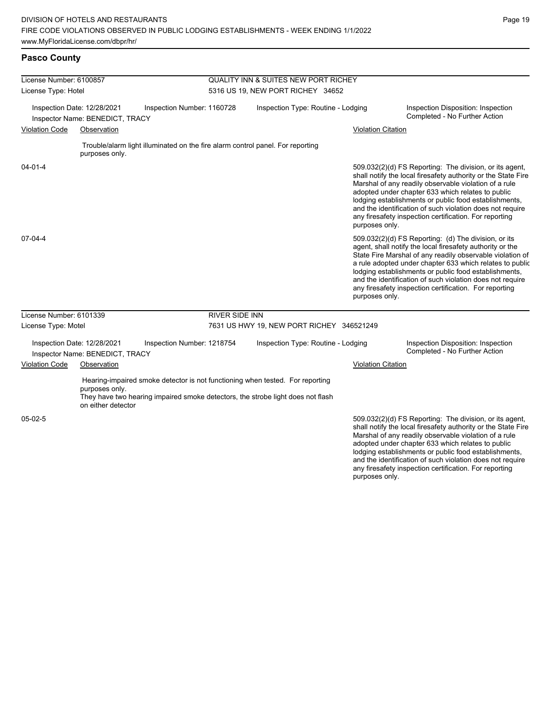| License Number: 6100857 |                                                                |                                                                                                                                                                  | <b>QUALITY INN &amp; SUITES NEW PORT RICHEY</b> |                           |                                                                                                                                                                                                                                                                                                                                                                                                                            |
|-------------------------|----------------------------------------------------------------|------------------------------------------------------------------------------------------------------------------------------------------------------------------|-------------------------------------------------|---------------------------|----------------------------------------------------------------------------------------------------------------------------------------------------------------------------------------------------------------------------------------------------------------------------------------------------------------------------------------------------------------------------------------------------------------------------|
| License Type: Hotel     |                                                                |                                                                                                                                                                  | 5316 US 19, NEW PORT RICHEY 34652               |                           |                                                                                                                                                                                                                                                                                                                                                                                                                            |
|                         | Inspection Date: 12/28/2021<br>Inspector Name: BENEDICT, TRACY | Inspection Number: 1160728                                                                                                                                       | Inspection Type: Routine - Lodging              |                           | Inspection Disposition: Inspection<br>Completed - No Further Action                                                                                                                                                                                                                                                                                                                                                        |
| <b>Violation Code</b>   | Observation                                                    |                                                                                                                                                                  |                                                 | <b>Violation Citation</b> |                                                                                                                                                                                                                                                                                                                                                                                                                            |
|                         | purposes only.                                                 | Trouble/alarm light illuminated on the fire alarm control panel. For reporting                                                                                   |                                                 |                           |                                                                                                                                                                                                                                                                                                                                                                                                                            |
| $04 - 01 - 4$           |                                                                |                                                                                                                                                                  |                                                 | purposes only.            | 509.032(2)(d) FS Reporting: The division, or its agent,<br>shall notify the local firesafety authority or the State Fire<br>Marshal of any readily observable violation of a rule<br>adopted under chapter 633 which relates to public<br>lodging establishments or public food establishments,<br>and the identification of such violation does not require<br>any firesafety inspection certification. For reporting     |
| $07-04-4$               |                                                                |                                                                                                                                                                  |                                                 | purposes only.            | 509.032(2)(d) FS Reporting: (d) The division, or its<br>agent, shall notify the local firesafety authority or the<br>State Fire Marshal of any readily observable violation of<br>a rule adopted under chapter 633 which relates to public<br>lodging establishments or public food establishments,<br>and the identification of such violation does not require<br>any firesafety inspection certification. For reporting |
| License Number: 6101339 |                                                                | <b>RIVER SIDE INN</b>                                                                                                                                            |                                                 |                           |                                                                                                                                                                                                                                                                                                                                                                                                                            |
| License Type: Motel     |                                                                |                                                                                                                                                                  | 7631 US HWY 19, NEW PORT RICHEY 346521249       |                           |                                                                                                                                                                                                                                                                                                                                                                                                                            |
|                         | Inspection Date: 12/28/2021<br>Inspector Name: BENEDICT, TRACY | Inspection Number: 1218754                                                                                                                                       | Inspection Type: Routine - Lodging              |                           | Inspection Disposition: Inspection<br>Completed - No Further Action                                                                                                                                                                                                                                                                                                                                                        |
| <b>Violation Code</b>   | Observation                                                    |                                                                                                                                                                  |                                                 | <b>Violation Citation</b> |                                                                                                                                                                                                                                                                                                                                                                                                                            |
|                         | purposes only.<br>on either detector                           | Hearing-impaired smoke detector is not functioning when tested. For reporting<br>They have two hearing impaired smoke detectors, the strobe light does not flash |                                                 |                           |                                                                                                                                                                                                                                                                                                                                                                                                                            |
| 05-02-5                 |                                                                |                                                                                                                                                                  |                                                 |                           | 509.032(2)(d) FS Reporting: The division, or its agent,<br>shall notify the local firesafety authority or the State Fire<br>Marshal of any readily observable violation of a rule<br>adopted under chapter 633 which relates to public<br>lodging establishments or public food establishments,<br>and the identification of such violation does not require<br>any firesafety inspection certification. For reporting     |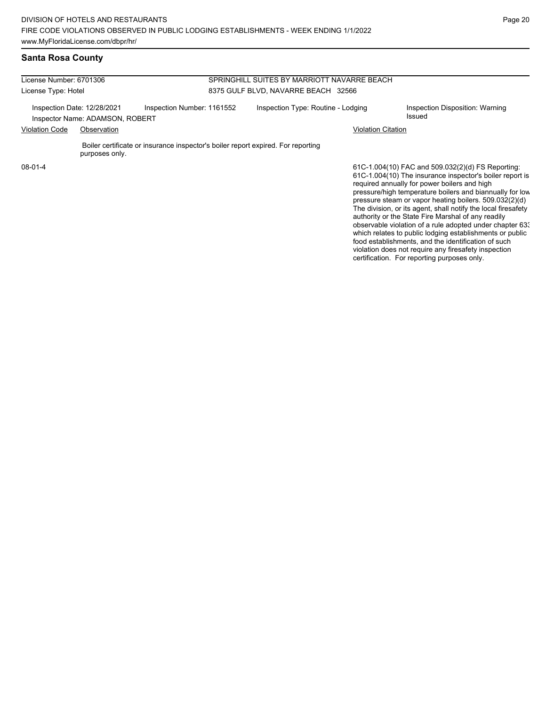#### **Santa Rosa County**

| License Number: 6701306                                        |                |                                                                                  | SPRINGHILL SUITES BY MARRIOTT NAVARRE BEACH |                                                                                                                                                                                                                           |  |  |  |
|----------------------------------------------------------------|----------------|----------------------------------------------------------------------------------|---------------------------------------------|---------------------------------------------------------------------------------------------------------------------------------------------------------------------------------------------------------------------------|--|--|--|
| License Type: Hotel                                            |                |                                                                                  | 8375 GULF BLVD, NAVARRE BEACH 32566         |                                                                                                                                                                                                                           |  |  |  |
| Inspection Date: 12/28/2021<br>Inspector Name: ADAMSON, ROBERT |                | Inspection Number: 1161552                                                       | Inspection Type: Routine - Lodging          | Inspection Disposition: Warning<br>Issued                                                                                                                                                                                 |  |  |  |
| <b>Violation Code</b><br>Observation                           |                | Violation Citation                                                               |                                             |                                                                                                                                                                                                                           |  |  |  |
|                                                                | purposes only. | Boiler certificate or insurance inspector's boiler report expired. For reporting |                                             |                                                                                                                                                                                                                           |  |  |  |
| $08 - 01 - 4$                                                  |                |                                                                                  |                                             | 61C-1.004(10) FAC and 509.032(2)(d) FS Reporting:<br>61C-1.004(10) The insurance inspector's boiler report is<br>required annually for power boilers and high<br>pressure/high temperature boilers and biannually for low |  |  |  |

pressure steam or vapor heating boilers. 509.032(2)(d) The division, or its agent, shall notify the local firesafety authority or the State Fire Marshal of any readily observable violation of a rule adopted under chapter 633 which relates to public lodging establishments or public food establishments, and the identification of such violation does not require any firesafety inspection certification. For reporting purposes only.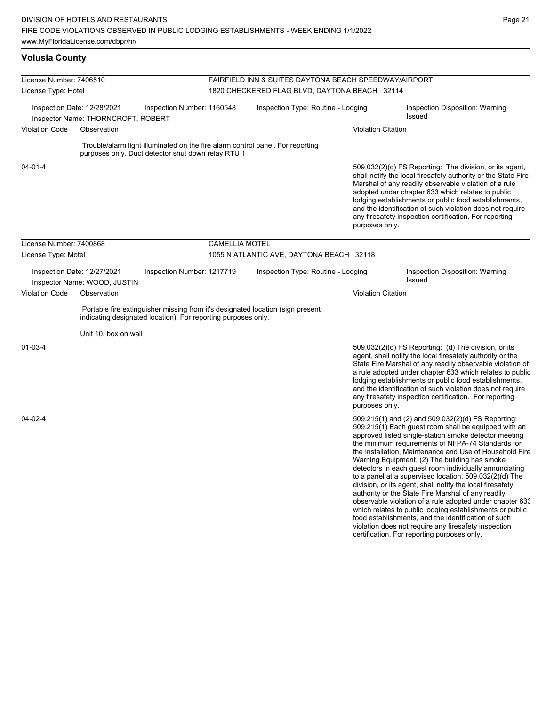# **Volusia County**

| License Number: 7406510     |                                                                               |                                                                                            | FAIRFIELD INN & SUITES DAYTONA BEACH SPEEDWAY/AIRPORT                                                          |                                                                                                                                                                                                                                                            |                                                                                                                                                                                                                                                                                                                                                                                                                                                                                                                                                                                                                                                                                                                                                                                                                                                                   |  |  |  |
|-----------------------------|-------------------------------------------------------------------------------|--------------------------------------------------------------------------------------------|----------------------------------------------------------------------------------------------------------------|------------------------------------------------------------------------------------------------------------------------------------------------------------------------------------------------------------------------------------------------------------|-------------------------------------------------------------------------------------------------------------------------------------------------------------------------------------------------------------------------------------------------------------------------------------------------------------------------------------------------------------------------------------------------------------------------------------------------------------------------------------------------------------------------------------------------------------------------------------------------------------------------------------------------------------------------------------------------------------------------------------------------------------------------------------------------------------------------------------------------------------------|--|--|--|
| License Type: Hotel         |                                                                               |                                                                                            | 1820 CHECKERED FLAG BLVD, DAYTONA BEACH 32114                                                                  |                                                                                                                                                                                                                                                            |                                                                                                                                                                                                                                                                                                                                                                                                                                                                                                                                                                                                                                                                                                                                                                                                                                                                   |  |  |  |
| Inspection Date: 12/28/2021 |                                                                               |                                                                                            | Inspection Type: Routine - Lodging                                                                             |                                                                                                                                                                                                                                                            | Inspection Disposition: Warning<br>Issued                                                                                                                                                                                                                                                                                                                                                                                                                                                                                                                                                                                                                                                                                                                                                                                                                         |  |  |  |
| Observation                 |                                                                               |                                                                                            |                                                                                                                | <b>Violation Citation</b>                                                                                                                                                                                                                                  |                                                                                                                                                                                                                                                                                                                                                                                                                                                                                                                                                                                                                                                                                                                                                                                                                                                                   |  |  |  |
|                             |                                                                               |                                                                                            |                                                                                                                |                                                                                                                                                                                                                                                            |                                                                                                                                                                                                                                                                                                                                                                                                                                                                                                                                                                                                                                                                                                                                                                                                                                                                   |  |  |  |
|                             |                                                                               |                                                                                            |                                                                                                                | purposes only.                                                                                                                                                                                                                                             | 509.032(2)(d) FS Reporting: The division, or its agent,<br>shall notify the local firesafety authority or the State Fire<br>Marshal of any readily observable violation of a rule<br>adopted under chapter 633 which relates to public<br>lodging establishments or public food establishments,<br>and the identification of such violation does not require<br>any firesafety inspection certification. For reporting                                                                                                                                                                                                                                                                                                                                                                                                                                            |  |  |  |
|                             |                                                                               |                                                                                            |                                                                                                                |                                                                                                                                                                                                                                                            |                                                                                                                                                                                                                                                                                                                                                                                                                                                                                                                                                                                                                                                                                                                                                                                                                                                                   |  |  |  |
|                             |                                                                               |                                                                                            |                                                                                                                |                                                                                                                                                                                                                                                            |                                                                                                                                                                                                                                                                                                                                                                                                                                                                                                                                                                                                                                                                                                                                                                                                                                                                   |  |  |  |
|                             |                                                                               |                                                                                            |                                                                                                                |                                                                                                                                                                                                                                                            | Inspection Disposition: Warning<br>Issued                                                                                                                                                                                                                                                                                                                                                                                                                                                                                                                                                                                                                                                                                                                                                                                                                         |  |  |  |
| Observation                 |                                                                               |                                                                                            |                                                                                                                | Violation Citation                                                                                                                                                                                                                                         |                                                                                                                                                                                                                                                                                                                                                                                                                                                                                                                                                                                                                                                                                                                                                                                                                                                                   |  |  |  |
|                             |                                                                               |                                                                                            |                                                                                                                |                                                                                                                                                                                                                                                            |                                                                                                                                                                                                                                                                                                                                                                                                                                                                                                                                                                                                                                                                                                                                                                                                                                                                   |  |  |  |
|                             |                                                                               |                                                                                            |                                                                                                                |                                                                                                                                                                                                                                                            |                                                                                                                                                                                                                                                                                                                                                                                                                                                                                                                                                                                                                                                                                                                                                                                                                                                                   |  |  |  |
|                             |                                                                               |                                                                                            |                                                                                                                | purposes only.                                                                                                                                                                                                                                             | 509.032(2)(d) FS Reporting: (d) The division, or its<br>agent, shall notify the local firesafety authority or the<br>State Fire Marshal of any readily observable violation of<br>a rule adopted under chapter 633 which relates to public<br>lodging establishments or public food establishments,<br>and the identification of such violation does not require<br>any firesafety inspection certification. For reporting                                                                                                                                                                                                                                                                                                                                                                                                                                        |  |  |  |
|                             |                                                                               |                                                                                            |                                                                                                                |                                                                                                                                                                                                                                                            | 509.215(1) and (2) and 509.032(2)(d) FS Reporting:<br>509.215(1) Each guest room shall be equipped with an<br>approved listed single-station smoke detector meeting<br>the minimum requirements of NFPA-74 Standards for<br>the Installation, Maintenance and Use of Household Fire<br>Warning Equipment. (2) The building has smoke<br>detectors in each guest room individually annunciating<br>to a panel at a supervised location. 509.032(2)(d) The<br>division, or its agent, shall notify the local firesafety<br>authority or the State Fire Marshal of any readily<br>observable violation of a rule adopted under chapter 633<br>which relates to public lodging establishments or public<br>food establishments, and the identification of such<br>violation does not require any firesafety inspection<br>certification. For reporting purposes only. |  |  |  |
|                             | License Number: 7400868<br>License Type: Motel<br>Inspection Date: 12/27/2021 | Inspector Name: THORNCROFT, ROBERT<br>Inspector Name: WOOD, JUSTIN<br>Unit 10, box on wall | Inspection Number: 1160548<br>purposes only. Duct detector shut down relay RTU 1<br>Inspection Number: 1217719 | Trouble/alarm light illuminated on the fire alarm control panel. For reporting<br><b>CAMELLIA MOTEL</b><br>Portable fire extinguisher missing from it's designated location (sign present<br>indicating designated location). For reporting purposes only. | 1055 N ATLANTIC AVE, DAYTONA BEACH 32118<br>Inspection Type: Routine - Lodging                                                                                                                                                                                                                                                                                                                                                                                                                                                                                                                                                                                                                                                                                                                                                                                    |  |  |  |